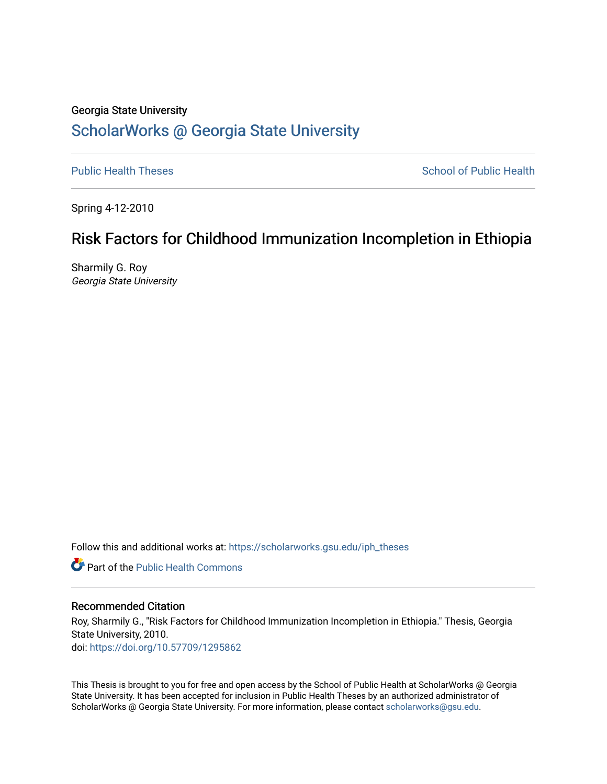# Georgia State University [ScholarWorks @ Georgia State University](https://scholarworks.gsu.edu/)

[Public Health Theses](https://scholarworks.gsu.edu/iph_theses) **School of Public Health** Public Health

Spring 4-12-2010

# Risk Factors for Childhood Immunization Incompletion in Ethiopia

Sharmily G. Roy Georgia State University

Follow this and additional works at: [https://scholarworks.gsu.edu/iph\\_theses](https://scholarworks.gsu.edu/iph_theses?utm_source=scholarworks.gsu.edu%2Fiph_theses%2F90&utm_medium=PDF&utm_campaign=PDFCoverPages) 

**C** Part of the Public Health Commons

#### Recommended Citation

Roy, Sharmily G., "Risk Factors for Childhood Immunization Incompletion in Ethiopia." Thesis, Georgia State University, 2010. doi: <https://doi.org/10.57709/1295862>

This Thesis is brought to you for free and open access by the School of Public Health at ScholarWorks @ Georgia State University. It has been accepted for inclusion in Public Health Theses by an authorized administrator of ScholarWorks @ Georgia State University. For more information, please contact [scholarworks@gsu.edu](mailto:scholarworks@gsu.edu).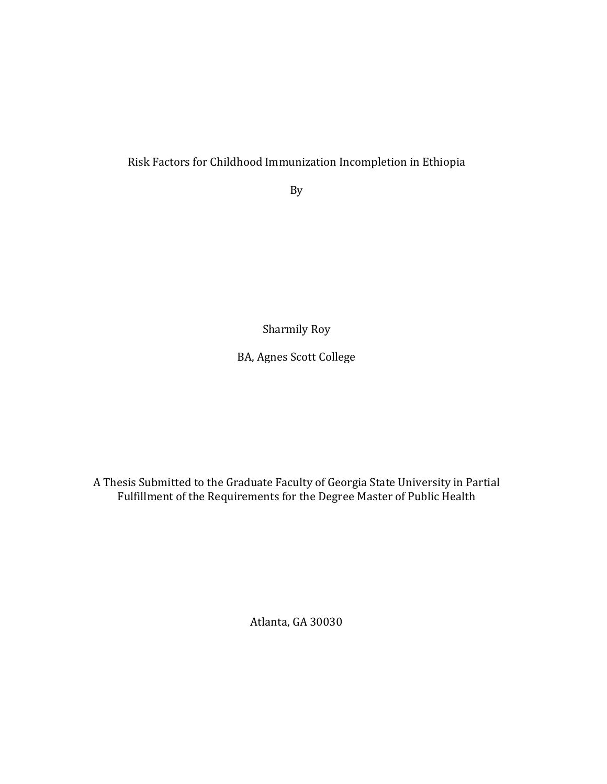# Risk Factors for Childhood Immunization Incompletion in Ethiopia

By

Sharmily Roy

BA, Agnes Scott College

A Thesis Submitted to the Graduate Faculty of Georgia State University in Partial Fulfillment of the Requirements for the Degree Master of Public Health

Atlanta, GA 30030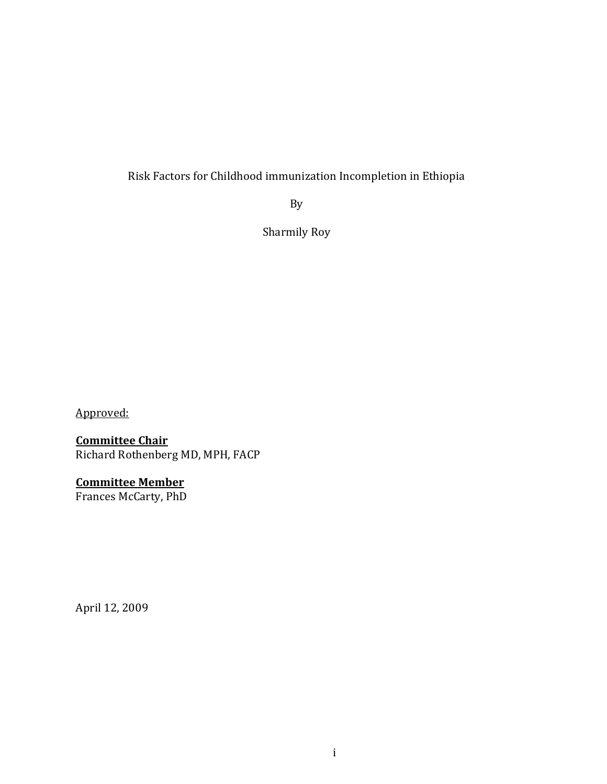# Risk Factors for Childhood immunization Incompletion in Ethiopia

By

Sharmily Roy

Approved:

# Committee Chair

Richard Rothenberg MD, MPH, FACP

# Committee Member

Frances McCarty, PhD

April 12, 2009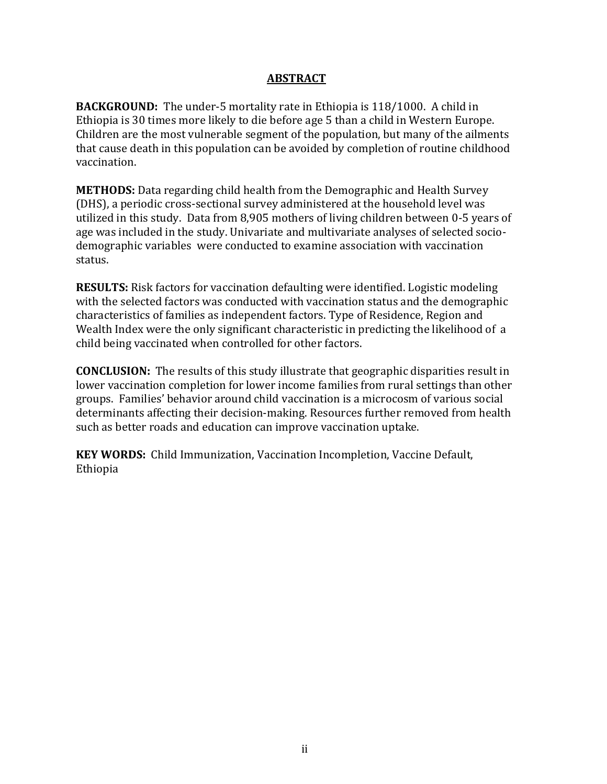# ABSTRACT

BACKGROUND: The under-5 mortality rate in Ethiopia is 118/1000. A child in Ethiopia is 30 times more likely to die before age 5 than a child in Western Europe. Children are the most vulnerable segment of the population, but many of the ailments that cause death in this population can be avoided by completion of routine childhood vaccination.

METHODS: Data regarding child health from the Demographic and Health Survey (DHS), a periodic cross-sectional survey administered at the household level was utilized in this study. Data from 8,905 mothers of living children between 0-5 years of age was included in the study. Univariate and multivariate analyses of selected sociodemographic variables were conducted to examine association with vaccination status.

RESULTS: Risk factors for vaccination defaulting were identified. Logistic modeling with the selected factors was conducted with vaccination status and the demographic characteristics of families as independent factors. Type of Residence, Region and Wealth Index were the only significant characteristic in predicting the likelihood of a child being vaccinated when controlled for other factors.

CONCLUSION: The results of this study illustrate that geographic disparities result in lower vaccination completion for lower income families from rural settings than other groups. Families' behavior around child vaccination is a microcosm of various social determinants affecting their decision-making. Resources further removed from health such as better roads and education can improve vaccination uptake.

KEY WORDS: Child Immunization, Vaccination Incompletion, Vaccine Default, Ethiopia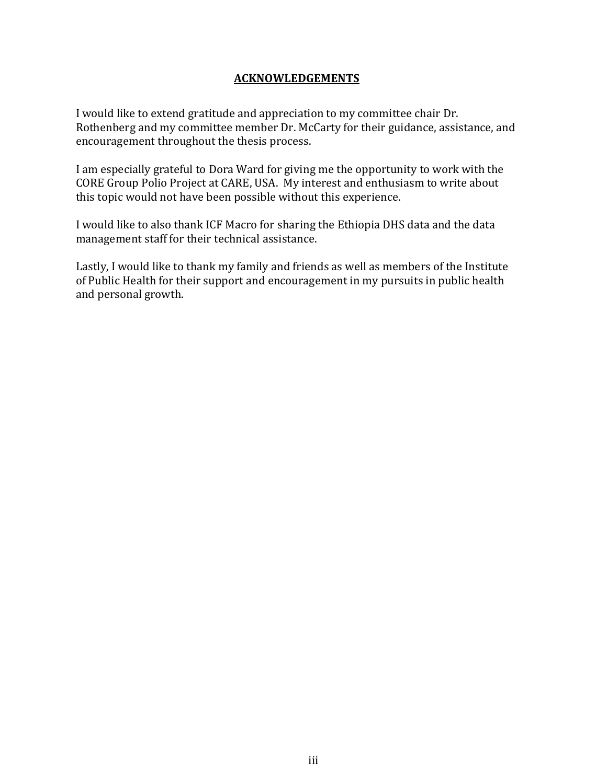## ACKNOWLEDGEMENTS

I would like to extend gratitude and appreciation to my committee chair Dr. Rothenberg and my committee member Dr. McCarty for their guidance, assistance, and encouragement throughout the thesis process.

I am especially grateful to Dora Ward for giving me the opportunity to work with the CORE Group Polio Project at CARE, USA. My interest and enthusiasm to write about this topic would not have been possible without this experience.

I would like to also thank ICF Macro for sharing the Ethiopia DHS data and the data management staff for their technical assistance.

Lastly, I would like to thank my family and friends as well as members of the Institute of Public Health for their support and encouragement in my pursuits in public health and personal growth.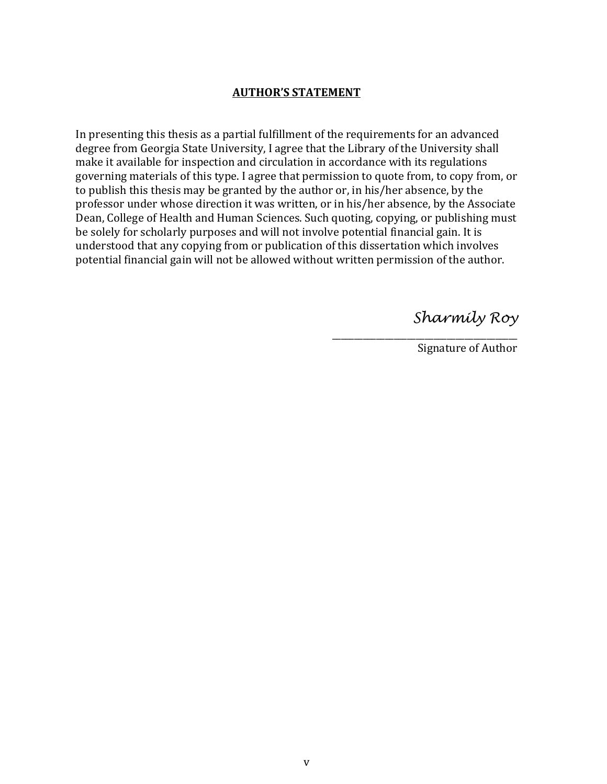## AUTHOR'S STATEMENT

In presenting this thesis as a partial fulfillment of the requirements for an advanced degree from Georgia State University, I agree that the Library of the University shall make it available for inspection and circulation in accordance with its regulations governing materials of this type. I agree that permission to quote from, to copy from, or to publish this thesis may be granted by the author or, in his/her absence, by the professor under whose direction it was written, or in his/her absence, by the Associate Dean, College of Health and Human Sciences. Such quoting, copying, or publishing must be solely for scholarly purposes and will not involve potential financial gain. It is understood that any copying from or publication of this dissertation which involves potential financial gain will not be allowed without written permission of the author.

Sharmily Roy

Signature of Author

\_\_\_\_\_\_\_\_\_\_\_\_\_\_\_\_\_\_\_\_\_\_\_\_\_\_\_\_\_\_\_\_\_\_\_\_\_\_\_\_\_\_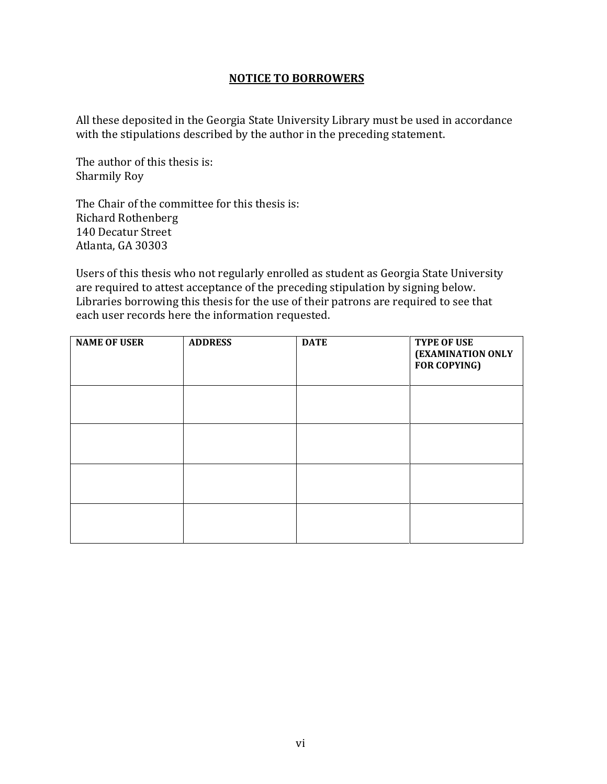## NOTICE TO BORROWERS

All these deposited in the Georgia State University Library must be used in accordance with the stipulations described by the author in the preceding statement.

The author of this thesis is: Sharmily Roy

The Chair of the committee for this thesis is: Richard Rothenberg 140 Decatur Street Atlanta, GA 30303

Users of this thesis who not regularly enrolled as student as Georgia State University are required to attest acceptance of the preceding stipulation by signing below. Libraries borrowing this thesis for the use of their patrons are required to see that each user records here the information requested.

| <b>NAME OF USER</b> | <b>ADDRESS</b> | <b>DATE</b> | <b>TYPE OF USE</b><br>(EXAMINATION ONLY<br><b>FOR COPYING)</b> |
|---------------------|----------------|-------------|----------------------------------------------------------------|
|                     |                |             |                                                                |
|                     |                |             |                                                                |
|                     |                |             |                                                                |
|                     |                |             |                                                                |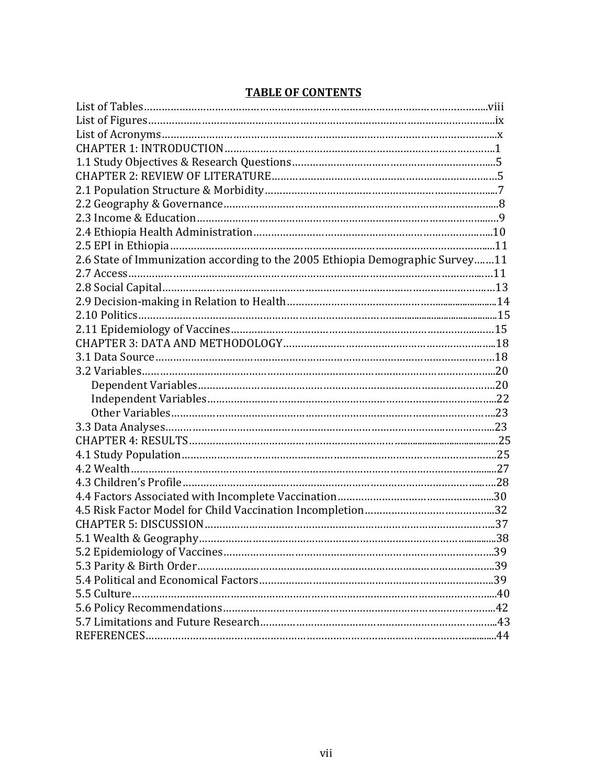| 2.6 State of Immunization according to the 2005 Ethiopia Demographic Survey11 |  |
|-------------------------------------------------------------------------------|--|
|                                                                               |  |
|                                                                               |  |
|                                                                               |  |
|                                                                               |  |
|                                                                               |  |
|                                                                               |  |
|                                                                               |  |
|                                                                               |  |
|                                                                               |  |
|                                                                               |  |
|                                                                               |  |
|                                                                               |  |
|                                                                               |  |
|                                                                               |  |
|                                                                               |  |
|                                                                               |  |
|                                                                               |  |
|                                                                               |  |
|                                                                               |  |
|                                                                               |  |
|                                                                               |  |
|                                                                               |  |
|                                                                               |  |
|                                                                               |  |
|                                                                               |  |
|                                                                               |  |
|                                                                               |  |

# TABLE OF CONTENTS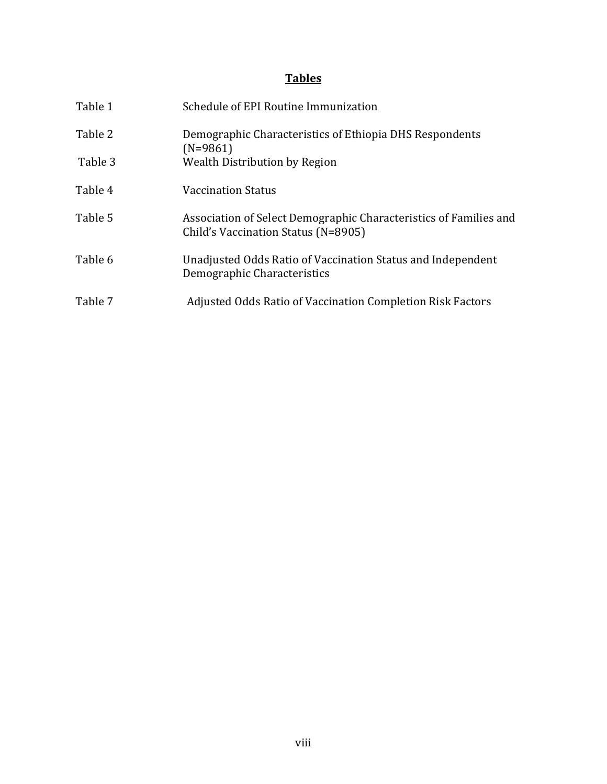# **Tables**

| Table 1 | Schedule of EPI Routine Immunization                                                                     |
|---------|----------------------------------------------------------------------------------------------------------|
| Table 2 | Demographic Characteristics of Ethiopia DHS Respondents<br>$(N=9861)$                                    |
| Table 3 | Wealth Distribution by Region                                                                            |
| Table 4 | Vaccination Status                                                                                       |
| Table 5 | Association of Select Demographic Characteristics of Families and<br>Child's Vaccination Status (N=8905) |
| Table 6 | Unadjusted Odds Ratio of Vaccination Status and Independent<br>Demographic Characteristics               |
| Table 7 | <b>Adjusted Odds Ratio of Vaccination Completion Risk Factors</b>                                        |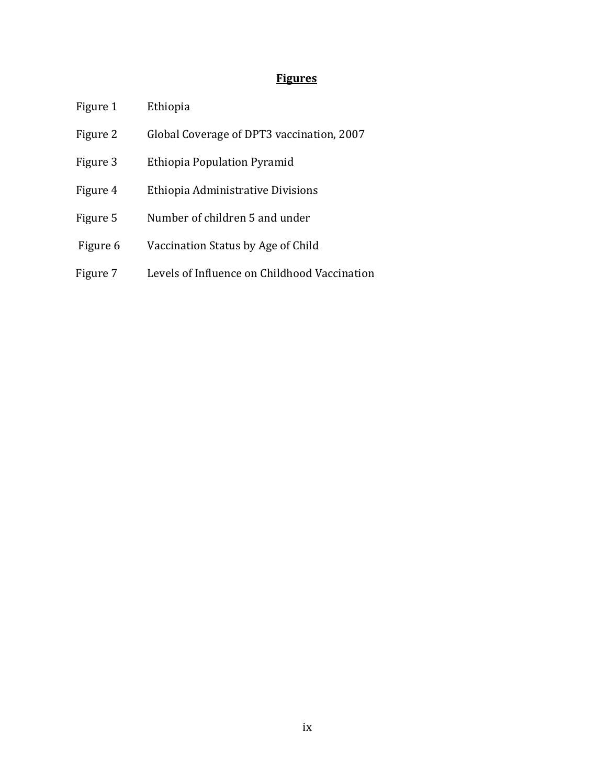# **Figures**

- Figure 1 Ethiopia
- Figure 2 Global Coverage of DPT3 vaccination, 2007
- Figure 3 Ethiopia Population Pyramid
- Figure 4 Ethiopia Administrative Divisions
- Figure 5 Number of children 5 and under
- Figure 6 Vaccination Status by Age of Child
- Figure 7 Levels of Influence on Childhood Vaccination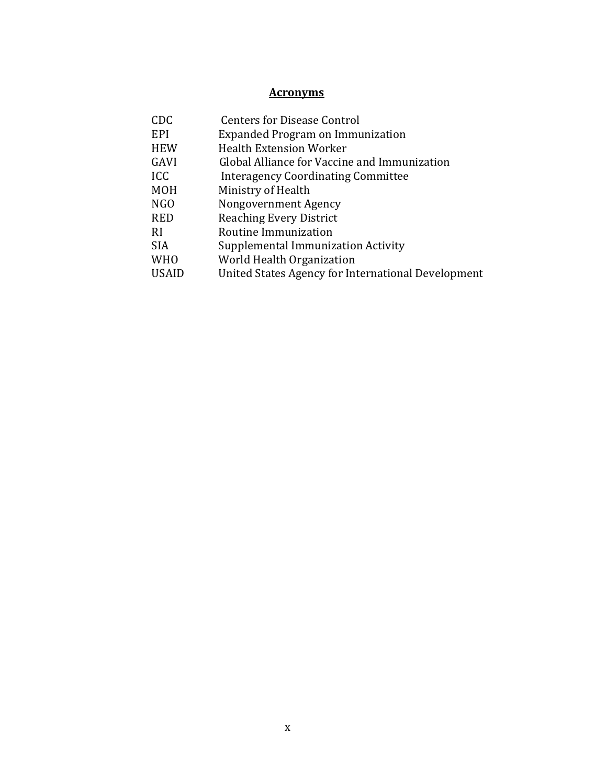# Acronyms

| CDC          | <b>Centers for Disease Control</b>                 |
|--------------|----------------------------------------------------|
| EPI          | Expanded Program on Immunization                   |
| <b>HEW</b>   | <b>Health Extension Worker</b>                     |
| GAVI         | Global Alliance for Vaccine and Immunization       |
| ICC          | <b>Interagency Coordinating Committee</b>          |
| <b>MOH</b>   | Ministry of Health                                 |
| NGO          | Nongovernment Agency                               |
| <b>RED</b>   | <b>Reaching Every District</b>                     |
| RI           | Routine Immunization                               |
| <b>SIA</b>   | Supplemental Immunization Activity                 |
| <b>WHO</b>   | World Health Organization                          |
| <b>USAID</b> | United States Agency for International Development |
|              |                                                    |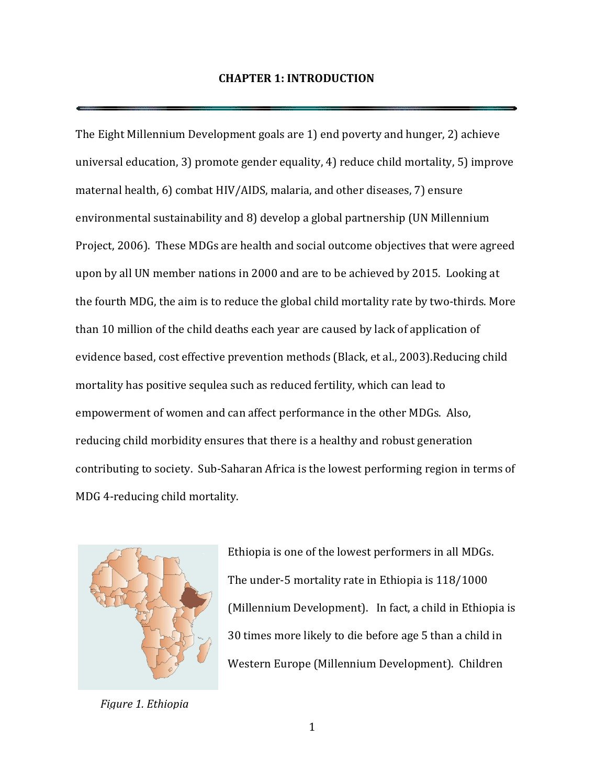### CHAPTER 1: INTRODUCTION

The Eight Millennium Development goals are 1) end poverty and hunger, 2) achieve universal education, 3) promote gender equality, 4) reduce child mortality, 5) improve maternal health, 6) combat HIV/AIDS, malaria, and other diseases, 7) ensure environmental sustainability and 8) develop a global partnership (UN Millennium Project, 2006). These MDGs are health and social outcome objectives that were agreed upon by all UN member nations in 2000 and are to be achieved by 2015. Looking at the fourth MDG, the aim is to reduce the global child mortality rate by two-thirds. More than 10 million of the child deaths each year are caused by lack of application of evidence based, cost effective prevention methods (Black, et al., 2003).Reducing child mortality has positive sequlea such as reduced fertility, which can lead to empowerment of women and can affect performance in the other MDGs. Also, reducing child morbidity ensures that there is a healthy and robust generation contributing to society. Sub-Saharan Africa is the lowest performing region in terms of MDG 4-reducing child mortality.



Ethiopia is one of the lowest performers in all MDGs. The under-5 mortality rate in Ethiopia is 118/1000 (Millennium Development). In fact, a child in Ethiopia is 30 times more likely to die before age 5 than a child in Western Europe (Millennium Development). Children

Figure 1. Ethiopia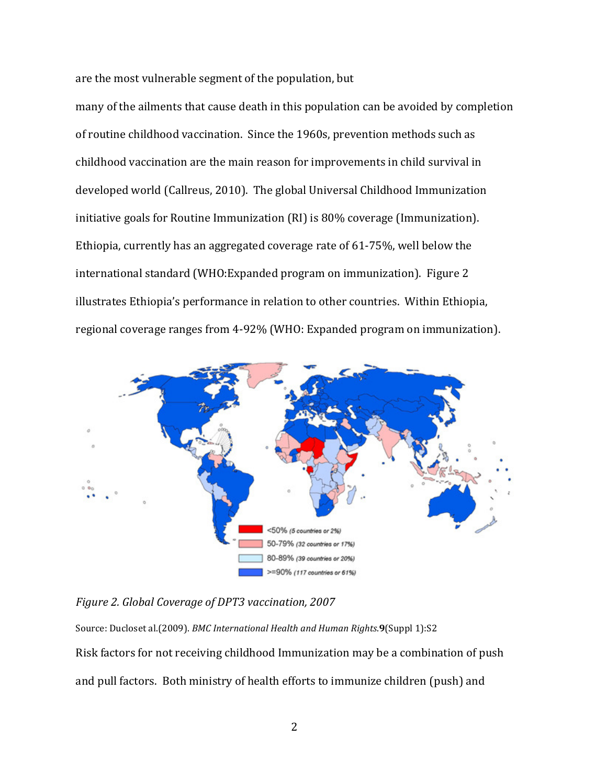are the most vulnerable segment of the population, but

many of the ailments that cause death in this population can be avoided by completion of routine childhood vaccination. Since the 1960s, prevention methods such as childhood vaccination are the main reason for improvements in child survival in developed world (Callreus, 2010). The global Universal Childhood Immunization initiative goals for Routine Immunization (RI) is 80% coverage (Immunization). Ethiopia, currently has an aggregated coverage rate of 61-75%, well below the international standard (WHO:Expanded program on immunization). Figure 2 illustrates Ethiopia's performance in relation to other countries. Within Ethiopia, regional coverage ranges from 4-92% (WHO: Expanded program on immunization).



#### Figure 2. Global Coverage of DPT3 vaccination, 2007

Source: Ducloset al.(2009). BMC International Health and Human Rights.9(Suppl 1):S2 Risk factors for not receiving childhood Immunization may be a combination of push and pull factors. Both ministry of health efforts to immunize children (push) and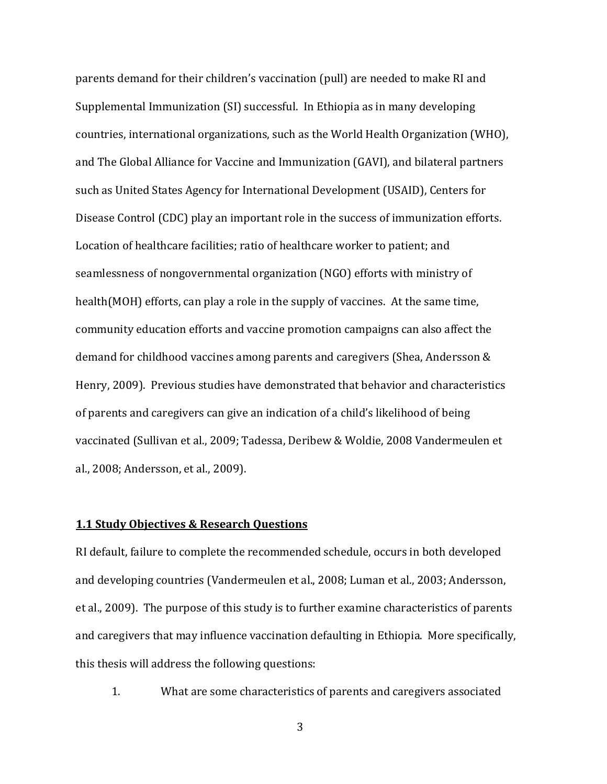parents demand for their children's vaccination (pull) are needed to make RI and Supplemental Immunization (SI) successful. In Ethiopia as in many developing countries, international organizations, such as the World Health Organization (WHO), and The Global Alliance for Vaccine and Immunization (GAVI), and bilateral partners such as United States Agency for International Development (USAID), Centers for Disease Control (CDC) play an important role in the success of immunization efforts. Location of healthcare facilities; ratio of healthcare worker to patient; and seamlessness of nongovernmental organization (NGO) efforts with ministry of health(MOH) efforts, can play a role in the supply of vaccines. At the same time, community education efforts and vaccine promotion campaigns can also affect the demand for childhood vaccines among parents and caregivers (Shea, Andersson & Henry, 2009). Previous studies have demonstrated that behavior and characteristics of parents and caregivers can give an indication of a child's likelihood of being vaccinated (Sullivan et al., 2009; Tadessa, Deribew & Woldie, 2008 Vandermeulen et al., 2008; Andersson, et al., 2009).

#### 1.1 Study Objectives & Research Questions

RI default, failure to complete the recommended schedule, occurs in both developed and developing countries (Vandermeulen et al., 2008; Luman et al., 2003; Andersson, et al., 2009). The purpose of this study is to further examine characteristics of parents and caregivers that may influence vaccination defaulting in Ethiopia. More specifically, this thesis will address the following questions:

1. What are some characteristics of parents and caregivers associated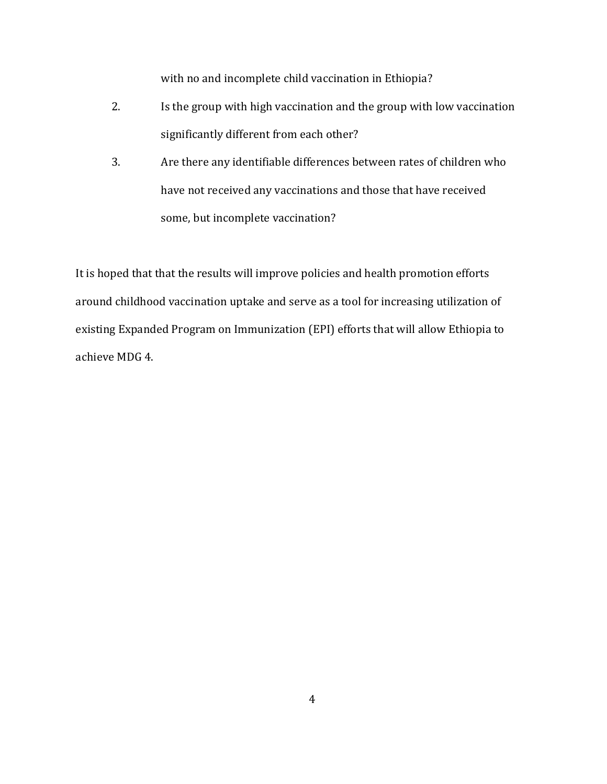with no and incomplete child vaccination in Ethiopia?

- 2. Is the group with high vaccination and the group with low vaccination significantly different from each other?
- 3. Are there any identifiable differences between rates of children who have not received any vaccinations and those that have received some, but incomplete vaccination?

It is hoped that that the results will improve policies and health promotion efforts around childhood vaccination uptake and serve as a tool for increasing utilization of existing Expanded Program on Immunization (EPI) efforts that will allow Ethiopia to achieve MDG 4.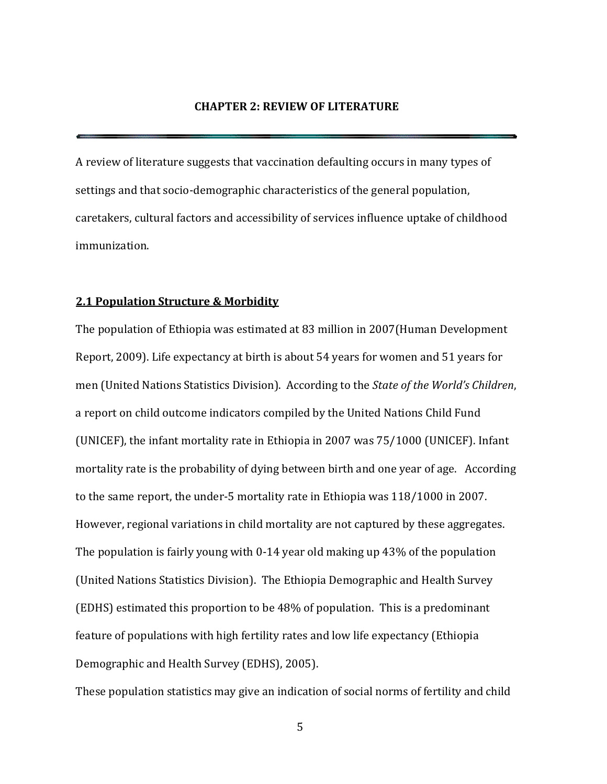#### CHAPTER 2: REVIEW OF LITERATURE

A review of literature suggests that vaccination defaulting occurs in many types of settings and that socio-demographic characteristics of the general population, caretakers, cultural factors and accessibility of services influence uptake of childhood immunization.

#### 2.1 Population Structure & Morbidity

The population of Ethiopia was estimated at 83 million in 2007(Human Development Report, 2009). Life expectancy at birth is about 54 years for women and 51 years for men (United Nations Statistics Division). According to the State of the World's Children, a report on child outcome indicators compiled by the United Nations Child Fund (UNICEF), the infant mortality rate in Ethiopia in 2007 was 75/1000 (UNICEF). Infant mortality rate is the probability of dying between birth and one year of age. According to the same report, the under-5 mortality rate in Ethiopia was 118/1000 in 2007. However, regional variations in child mortality are not captured by these aggregates. The population is fairly young with 0-14 year old making up 43% of the population (United Nations Statistics Division). The Ethiopia Demographic and Health Survey (EDHS) estimated this proportion to be 48% of population. This is a predominant feature of populations with high fertility rates and low life expectancy (Ethiopia Demographic and Health Survey (EDHS), 2005).

These population statistics may give an indication of social norms of fertility and child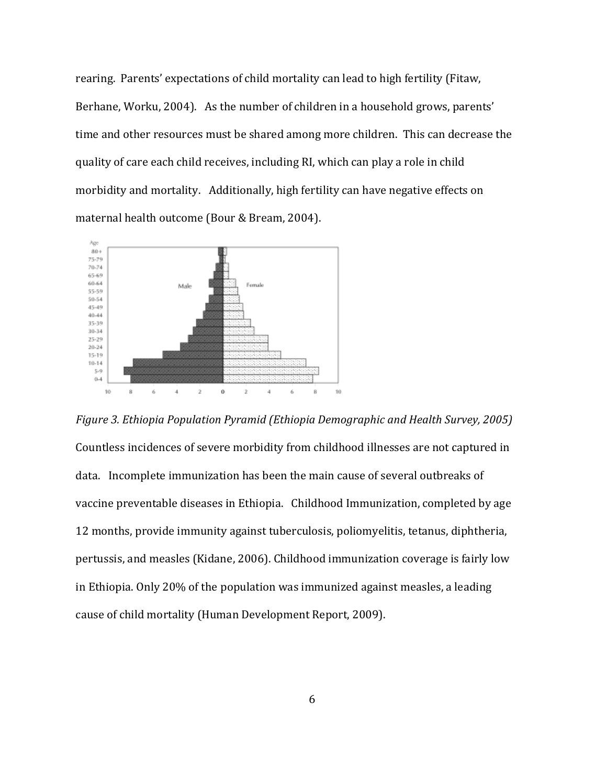rearing. Parents' expectations of child mortality can lead to high fertility (Fitaw, Berhane, Worku, 2004). As the number of children in a household grows, parents' Berhane, Worku, 2004). As the number of children in a household grows, parents'<br>time and other resources must be shared among more children. This can decrease the quality of care each child receives, including RI, which can play a role in child morbidity and mortality. Additionally, high fertility can have negative effects on maternal health outcome (Bour & Bream, 2004) 2004).



Figure 3. Ethiopia Population Pyramid (Ethiopia Demographic and Health Survey, 2005) Countless incidences of severe morbidity from childhood illnesses are not captured in data. Incomplete immunization has been the main cause of several outbreaks of vaccine preventable diseases in Ethiopia. Childhood Immunization, comple 12 months, provide immunity against tuberculosis, poliomyelitis, tetanus, diphtheria, pertussis, and measles (Kidane, 2006). Childhood immunization coverage is fairly low<br>in Ethiopia. Only 20% of the population was immunized against measles, a leading in Ethiopia. Only 20% of the population was immunized against measles, a l cause of child mortality (Human Development Report, 2009). data. Incomplete immunization has been the main cause of several outbreaks of<br>vaccine preventable diseases in Ethiopia. Childhood Immunization, completed by age<br>12 months, provide immunity against tuberculosis, poliomy es are not captured in<br>eral outbreaks of<br>tion, completed by age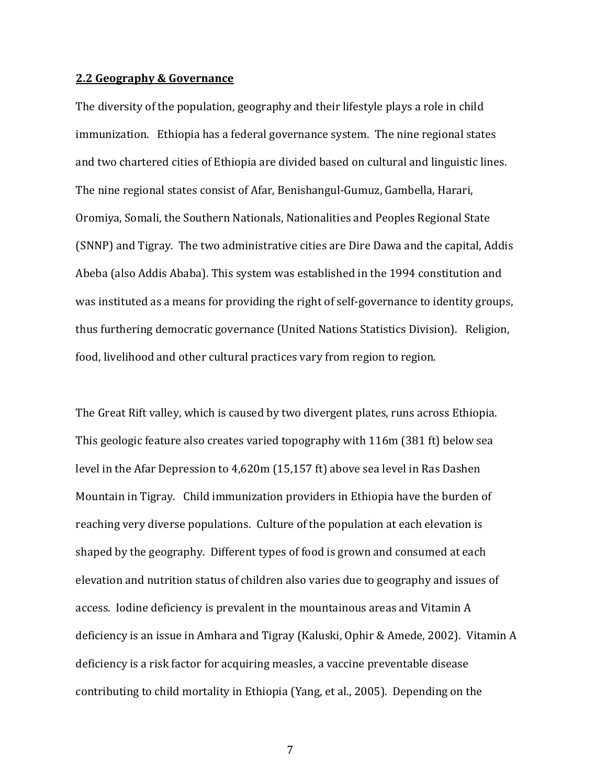#### 2.2 Geography & Governance

The diversity of the population, geography and their lifestyle plays a role in child immunization. Ethiopia has a federal governance system. The nine regional states and two chartered cities of Ethiopia are divided based on cultural and linguistic lines. The nine regional states consist of Afar, Benishangul-Gumuz, Gambella, Harari, Oromiya, Somali, the Southern Nationals, Nationalities and Peoples Regional State (SNNP) and Tigray. The two administrative cities are Dire Dawa and the capital, Addis Abeba (also Addis Ababa). This system was established in the 1994 constitution and was instituted as a means for providing the right of self-governance to identity groups, thus furthering democratic governance (United Nations Statistics Division). Religion, food, livelihood and other cultural practices vary from region to region.

The Great Rift valley, which is caused by two divergent plates, runs across Ethiopia. This geologic feature also creates varied topography with 116m (381 ft) below sea level in the Afar Depression to 4,620m (15,157 ft) above sea level in Ras Dashen Mountain in Tigray. Child immunization providers in Ethiopia have the burden of reaching very diverse populations. Culture of the population at each elevation is shaped by the geography. Different types of food is grown and consumed at each elevation and nutrition status of children also varies due to geography and issues of access. Iodine deficiency is prevalent in the mountainous areas and Vitamin A deficiency is an issue in Amhara and Tigray (Kaluski, Ophir & Amede, 2002). Vitamin A deficiency is a risk factor for acquiring measles, a vaccine preventable disease contributing to child mortality in Ethiopia (Yang, et al., 2005). Depending on the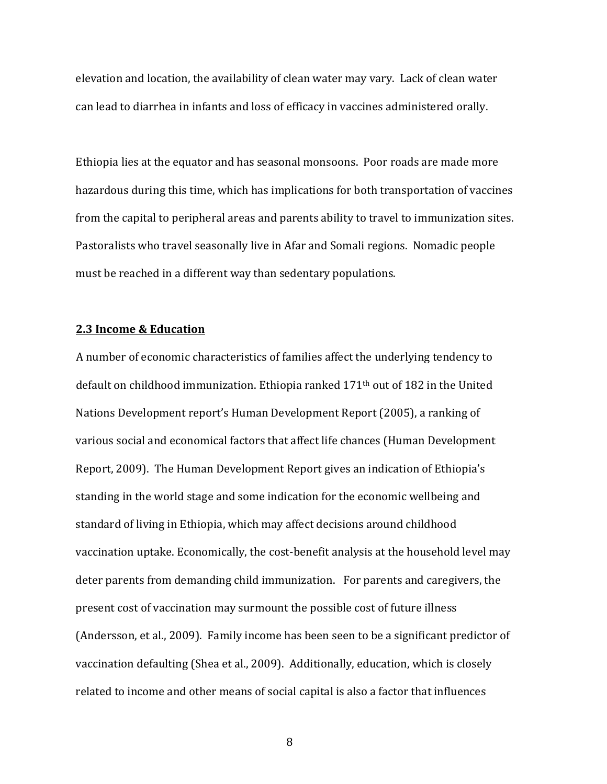elevation and location, the availability of clean water may vary. Lack of clean water can lead to diarrhea in infants and loss of efficacy in vaccines administered orally.

Ethiopia lies at the equator and has seasonal monsoons. Poor roads are made more hazardous during this time, which has implications for both transportation of vaccines from the capital to peripheral areas and parents ability to travel to immunization sites. Pastoralists who travel seasonally live in Afar and Somali regions. Nomadic people must be reached in a different way than sedentary populations.

## 2.3 Income & Education

A number of economic characteristics of families affect the underlying tendency to default on childhood immunization. Ethiopia ranked 171th out of 182 in the United Nations Development report's Human Development Report (2005), a ranking of various social and economical factors that affect life chances (Human Development Report, 2009). The Human Development Report gives an indication of Ethiopia's standing in the world stage and some indication for the economic wellbeing and standard of living in Ethiopia, which may affect decisions around childhood vaccination uptake. Economically, the cost-benefit analysis at the household level may deter parents from demanding child immunization. For parents and caregivers, the present cost of vaccination may surmount the possible cost of future illness (Andersson, et al., 2009). Family income has been seen to be a significant predictor of vaccination defaulting (Shea et al., 2009). Additionally, education, which is closely related to income and other means of social capital is also a factor that influences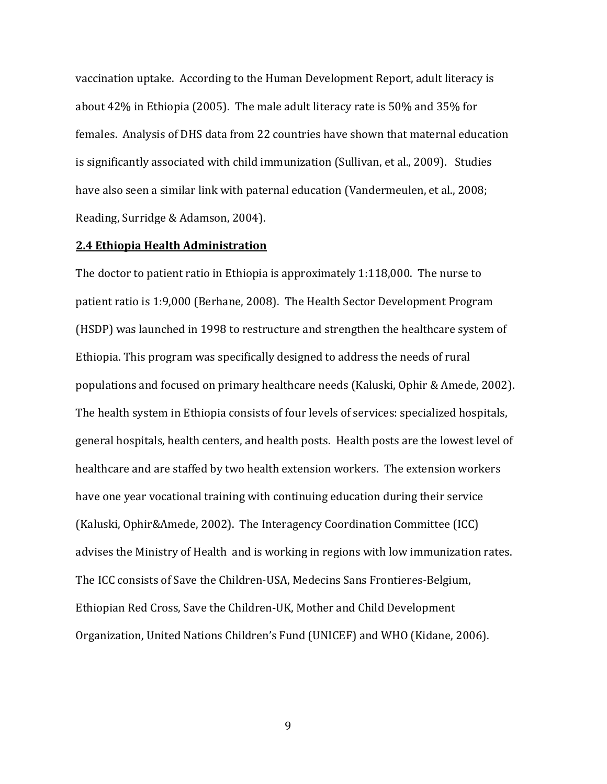vaccination uptake. According to the Human Development Report, adult literacy is about 42% in Ethiopia (2005). The male adult literacy rate is 50% and 35% for females. Analysis of DHS data from 22 countries have shown that maternal education is significantly associated with child immunization (Sullivan, et al., 2009). Studies have also seen a similar link with paternal education (Vandermeulen, et al., 2008; Reading, Surridge & Adamson, 2004).

#### 2.4 Ethiopia Health Administration

The doctor to patient ratio in Ethiopia is approximately 1:118,000. The nurse to patient ratio is 1:9,000 (Berhane, 2008). The Health Sector Development Program (HSDP) was launched in 1998 to restructure and strengthen the healthcare system of Ethiopia. This program was specifically designed to address the needs of rural populations and focused on primary healthcare needs (Kaluski, Ophir & Amede, 2002). The health system in Ethiopia consists of four levels of services: specialized hospitals, general hospitals, health centers, and health posts. Health posts are the lowest level of healthcare and are staffed by two health extension workers. The extension workers have one year vocational training with continuing education during their service (Kaluski, Ophir&Amede, 2002). The Interagency Coordination Committee (ICC) advises the Ministry of Health and is working in regions with low immunization rates. The ICC consists of Save the Children-USA, Medecins Sans Frontieres-Belgium, Ethiopian Red Cross, Save the Children-UK, Mother and Child Development Organization, United Nations Children's Fund (UNICEF) and WHO (Kidane, 2006).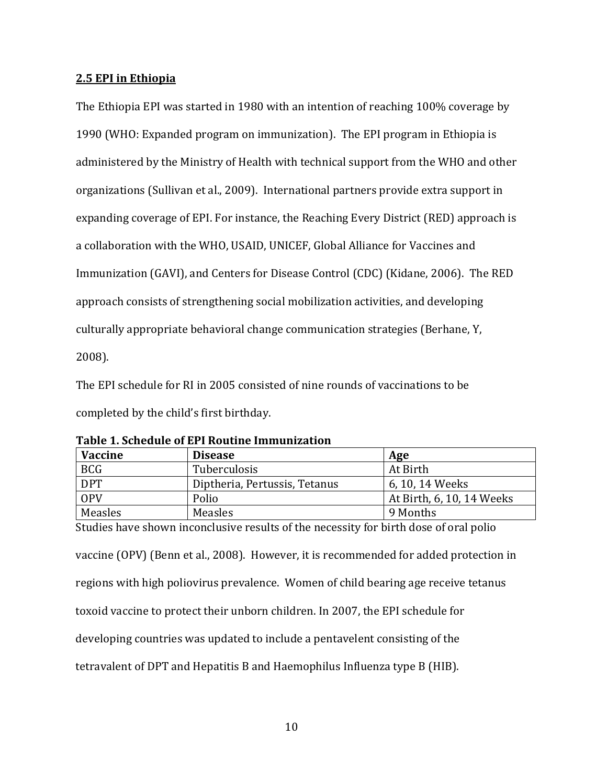## 2.5 EPI in Ethiopia

The Ethiopia EPI was started in 1980 with an intention of reaching 100% coverage by 1990 (WHO: Expanded program on immunization). The EPI program in Ethiopia is administered by the Ministry of Health with technical support from the WHO and other organizations (Sullivan et al., 2009). International partners provide extra support in expanding coverage of EPI. For instance, the Reaching Every District (RED) approach is a collaboration with the WHO, USAID, UNICEF, Global Alliance for Vaccines and Immunization (GAVI), and Centers for Disease Control (CDC) (Kidane, 2006). The RED approach consists of strengthening social mobilization activities, and developing culturally appropriate behavioral change communication strategies (Berhane, Y, 2008).

The EPI schedule for RI in 2005 consisted of nine rounds of vaccinations to be completed by the child's first birthday.

| <b>Vaccine</b> | <b>Disease</b>                | Age                       |
|----------------|-------------------------------|---------------------------|
| <b>BCG</b>     | Tuberculosis                  | At Birth                  |
| <b>DPT</b>     | Diptheria, Pertussis, Tetanus | 6, 10, 14 Weeks           |
| OPV            | Polio                         | At Birth, 6, 10, 14 Weeks |
| Measles        | Measles                       | 9 Months                  |

Table 1. Schedule of EPI Routine Immunization

Studies have shown inconclusive results of the necessity for birth dose of oral polio vaccine (OPV) (Benn et al., 2008). However, it is recommended for added protection in regions with high poliovirus prevalence. Women of child bearing age receive tetanus toxoid vaccine to protect their unborn children. In 2007, the EPI schedule for developing countries was updated to include a pentavelent consisting of the tetravalent of DPT and Hepatitis B and Haemophilus Influenza type B (HIB).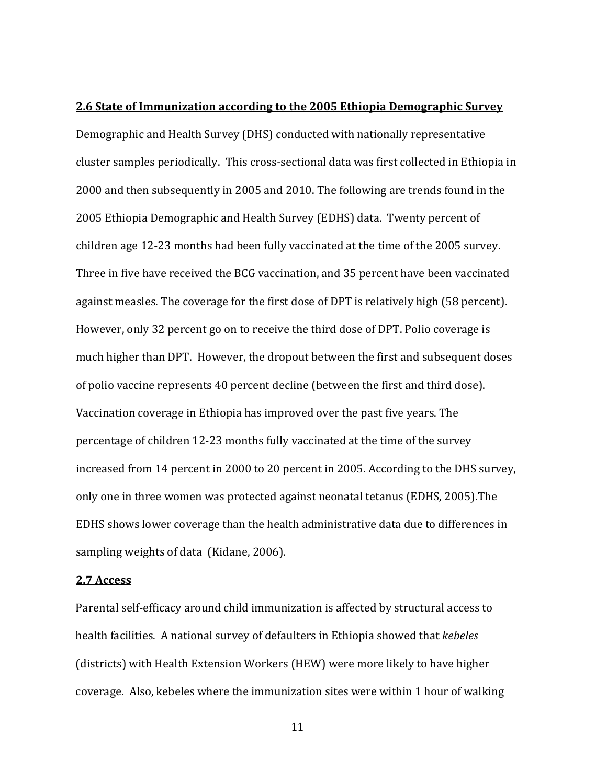#### 2.6 State of Immunization according to the 2005 Ethiopia Demographic Survey

Demographic and Health Survey (DHS) conducted with nationally representative cluster samples periodically. This cross-sectional data was first collected in Ethiopia in 2000 and then subsequently in 2005 and 2010. The following are trends found in the 2005 Ethiopia Demographic and Health Survey (EDHS) data. Twenty percent of children age 12-23 months had been fully vaccinated at the time of the 2005 survey. Three in five have received the BCG vaccination, and 35 percent have been vaccinated against measles. The coverage for the first dose of DPT is relatively high (58 percent). However, only 32 percent go on to receive the third dose of DPT. Polio coverage is much higher than DPT. However, the dropout between the first and subsequent doses of polio vaccine represents 40 percent decline (between the first and third dose). Vaccination coverage in Ethiopia has improved over the past five years. The percentage of children 12-23 months fully vaccinated at the time of the survey increased from 14 percent in 2000 to 20 percent in 2005. According to the DHS survey, only one in three women was protected against neonatal tetanus (EDHS, 2005).The EDHS shows lower coverage than the health administrative data due to differences in sampling weights of data (Kidane, 2006).

#### 2.7 Access

Parental self-efficacy around child immunization is affected by structural access to health facilities. A national survey of defaulters in Ethiopia showed that kebeles (districts) with Health Extension Workers (HEW) were more likely to have higher coverage. Also, kebeles where the immunization sites were within 1 hour of walking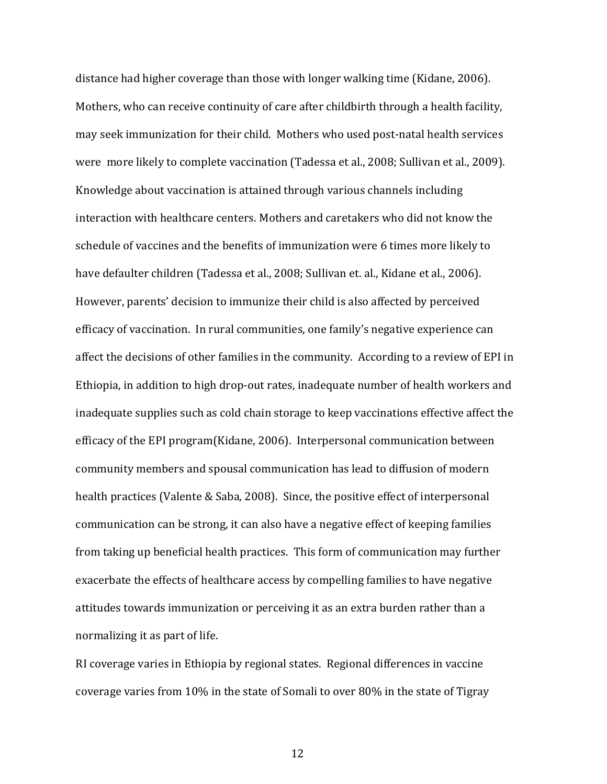distance had higher coverage than those with longer walking time (Kidane, 2006). Mothers, who can receive continuity of care after childbirth through a health facility, may seek immunization for their child. Mothers who used post-natal health services were more likely to complete vaccination (Tadessa et al., 2008; Sullivan et al., 2009). Knowledge about vaccination is attained through various channels including interaction with healthcare centers. Mothers and caretakers who did not know the schedule of vaccines and the benefits of immunization were 6 times more likely to have defaulter children (Tadessa et al., 2008; Sullivan et. al., Kidane et al., 2006). However, parents' decision to immunize their child is also affected by perceived efficacy of vaccination. In rural communities, one family's negative experience can affect the decisions of other families in the community. According to a review of EPI in Ethiopia, in addition to high drop-out rates, inadequate number of health workers and inadequate supplies such as cold chain storage to keep vaccinations effective affect the efficacy of the EPI program(Kidane, 2006). Interpersonal communication between community members and spousal communication has lead to diffusion of modern health practices (Valente & Saba, 2008). Since, the positive effect of interpersonal communication can be strong, it can also have a negative effect of keeping families from taking up beneficial health practices. This form of communication may further exacerbate the effects of healthcare access by compelling families to have negative attitudes towards immunization or perceiving it as an extra burden rather than a normalizing it as part of life.

RI coverage varies in Ethiopia by regional states. Regional differences in vaccine coverage varies from 10% in the state of Somali to over 80% in the state of Tigray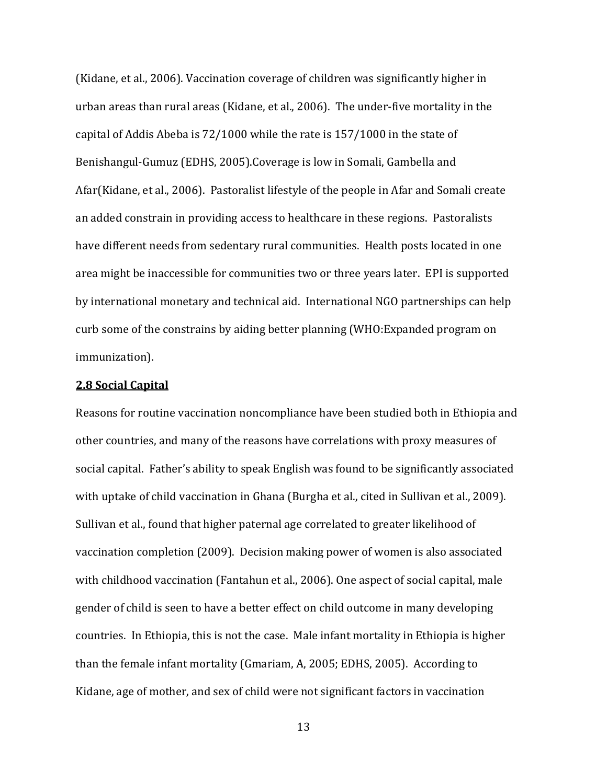(Kidane, et al., 2006). Vaccination coverage of children was significantly higher in urban areas than rural areas (Kidane, et al., 2006). The under-five mortality in the capital of Addis Abeba is 72/1000 while the rate is 157/1000 in the state of Benishangul-Gumuz (EDHS, 2005).Coverage is low in Somali, Gambella and Afar(Kidane, et al., 2006). Pastoralist lifestyle of the people in Afar and Somali create an added constrain in providing access to healthcare in these regions. Pastoralists have different needs from sedentary rural communities. Health posts located in one area might be inaccessible for communities two or three years later. EPI is supported by international monetary and technical aid. International NGO partnerships can help curb some of the constrains by aiding better planning (WHO:Expanded program on immunization).

#### 2.8 Social Capital

Reasons for routine vaccination noncompliance have been studied both in Ethiopia and other countries, and many of the reasons have correlations with proxy measures of social capital. Father's ability to speak English was found to be significantly associated with uptake of child vaccination in Ghana (Burgha et al., cited in Sullivan et al., 2009). Sullivan et al., found that higher paternal age correlated to greater likelihood of vaccination completion (2009). Decision making power of women is also associated with childhood vaccination (Fantahun et al., 2006). One aspect of social capital, male gender of child is seen to have a better effect on child outcome in many developing countries. In Ethiopia, this is not the case. Male infant mortality in Ethiopia is higher than the female infant mortality (Gmariam, A, 2005; EDHS, 2005). According to Kidane, age of mother, and sex of child were not significant factors in vaccination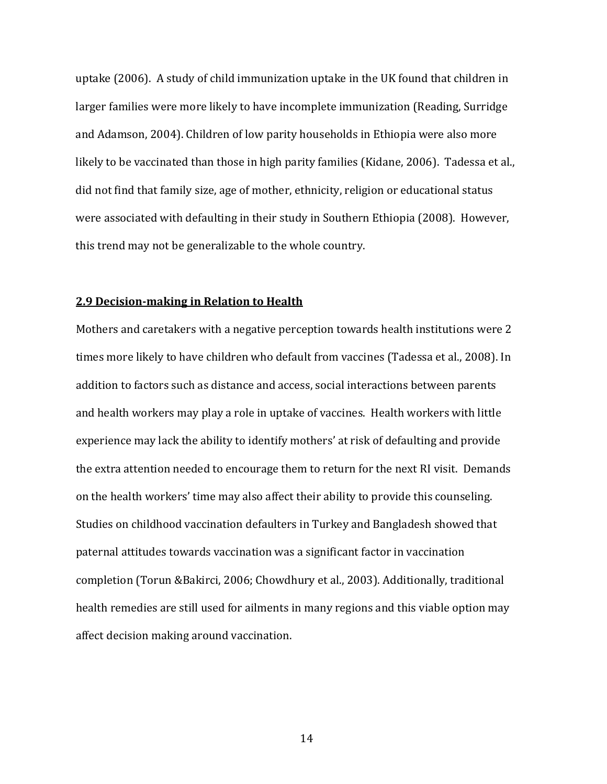uptake (2006). A study of child immunization uptake in the UK found that children in larger families were more likely to have incomplete immunization (Reading, Surridge and Adamson, 2004). Children of low parity households in Ethiopia were also more likely to be vaccinated than those in high parity families (Kidane, 2006). Tadessa et al., did not find that family size, age of mother, ethnicity, religion or educational status were associated with defaulting in their study in Southern Ethiopia (2008). However, this trend may not be generalizable to the whole country.

#### 2.9 Decision-making in Relation to Health

Mothers and caretakers with a negative perception towards health institutions were 2 times more likely to have children who default from vaccines (Tadessa et al., 2008). In addition to factors such as distance and access, social interactions between parents and health workers may play a role in uptake of vaccines. Health workers with little experience may lack the ability to identify mothers' at risk of defaulting and provide the extra attention needed to encourage them to return for the next RI visit. Demands on the health workers' time may also affect their ability to provide this counseling. Studies on childhood vaccination defaulters in Turkey and Bangladesh showed that paternal attitudes towards vaccination was a significant factor in vaccination completion (Torun &Bakirci, 2006; Chowdhury et al., 2003). Additionally, traditional health remedies are still used for ailments in many regions and this viable option may affect decision making around vaccination.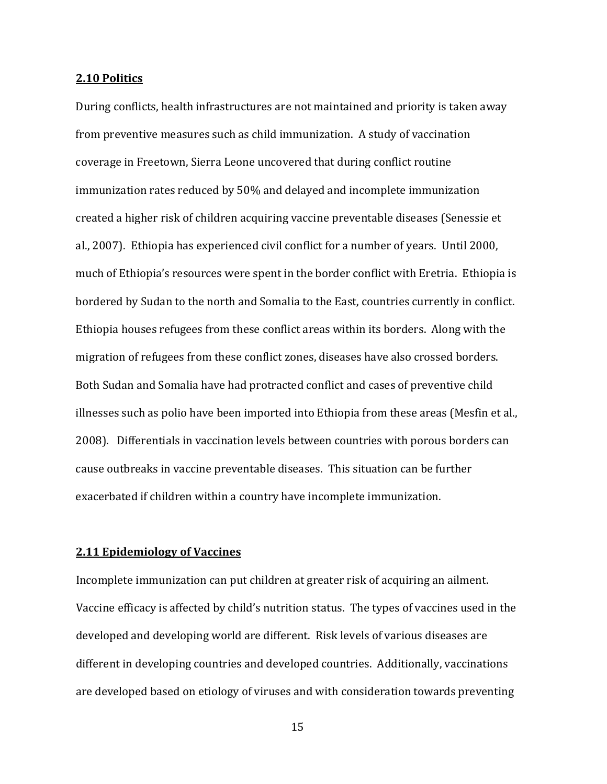#### 2.10 Politics

During conflicts, health infrastructures are not maintained and priority is taken away from preventive measures such as child immunization. A study of vaccination coverage in Freetown, Sierra Leone uncovered that during conflict routine immunization rates reduced by 50% and delayed and incomplete immunization created a higher risk of children acquiring vaccine preventable diseases (Senessie et al., 2007). Ethiopia has experienced civil conflict for a number of years. Until 2000, much of Ethiopia's resources were spent in the border conflict with Eretria. Ethiopia is bordered by Sudan to the north and Somalia to the East, countries currently in conflict. Ethiopia houses refugees from these conflict areas within its borders. Along with the migration of refugees from these conflict zones, diseases have also crossed borders. Both Sudan and Somalia have had protracted conflict and cases of preventive child illnesses such as polio have been imported into Ethiopia from these areas (Mesfin et al., 2008). Differentials in vaccination levels between countries with porous borders can cause outbreaks in vaccine preventable diseases. This situation can be further exacerbated if children within a country have incomplete immunization.

## 2.11 Epidemiology of Vaccines

Incomplete immunization can put children at greater risk of acquiring an ailment. Vaccine efficacy is affected by child's nutrition status. The types of vaccines used in the developed and developing world are different. Risk levels of various diseases are different in developing countries and developed countries. Additionally, vaccinations are developed based on etiology of viruses and with consideration towards preventing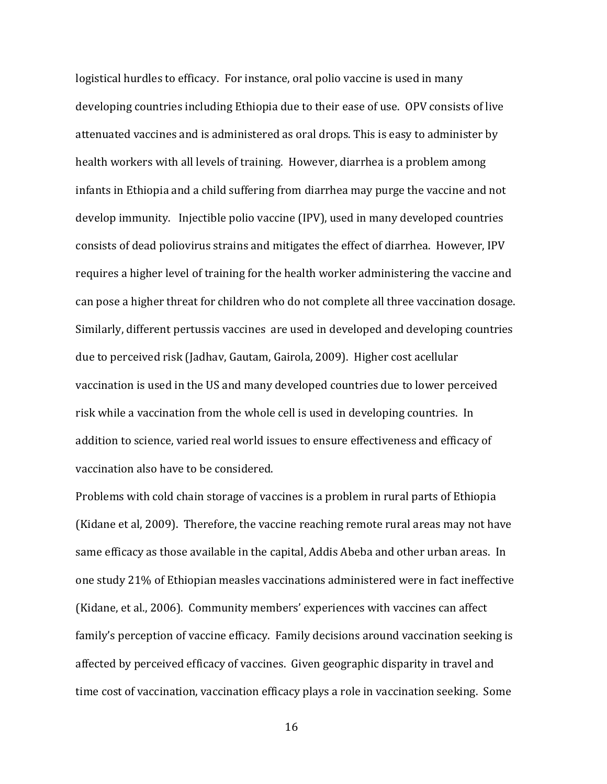logistical hurdles to efficacy. For instance, oral polio vaccine is used in many developing countries including Ethiopia due to their ease of use. OPV consists of live attenuated vaccines and is administered as oral drops. This is easy to administer by health workers with all levels of training. However, diarrhea is a problem among infants in Ethiopia and a child suffering from diarrhea may purge the vaccine and not develop immunity. Injectible polio vaccine (IPV), used in many developed countries consists of dead poliovirus strains and mitigates the effect of diarrhea. However, IPV requires a higher level of training for the health worker administering the vaccine and can pose a higher threat for children who do not complete all three vaccination dosage. Similarly, different pertussis vaccines are used in developed and developing countries due to perceived risk (Jadhav, Gautam, Gairola, 2009). Higher cost acellular vaccination is used in the US and many developed countries due to lower perceived risk while a vaccination from the whole cell is used in developing countries. In addition to science, varied real world issues to ensure effectiveness and efficacy of vaccination also have to be considered.

Problems with cold chain storage of vaccines is a problem in rural parts of Ethiopia (Kidane et al, 2009). Therefore, the vaccine reaching remote rural areas may not have same efficacy as those available in the capital, Addis Abeba and other urban areas. In one study 21% of Ethiopian measles vaccinations administered were in fact ineffective (Kidane, et al., 2006). Community members' experiences with vaccines can affect family's perception of vaccine efficacy. Family decisions around vaccination seeking is affected by perceived efficacy of vaccines. Given geographic disparity in travel and time cost of vaccination, vaccination efficacy plays a role in vaccination seeking. Some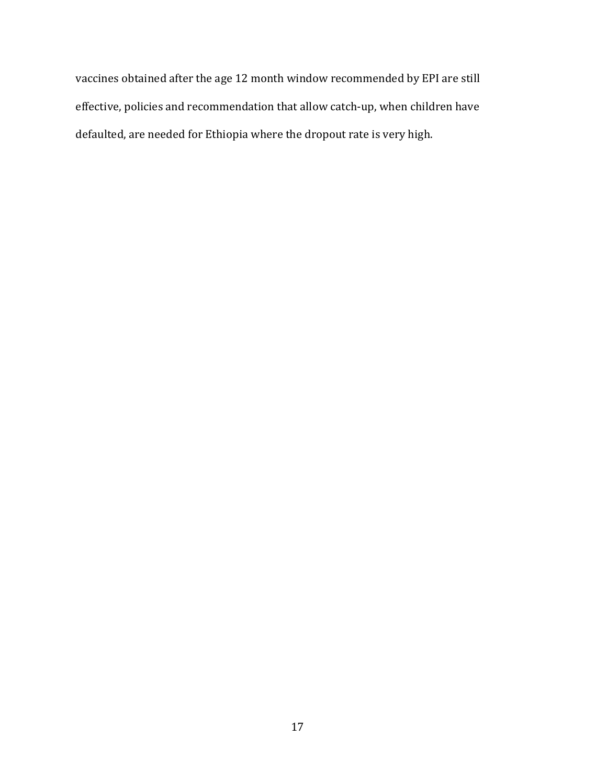vaccines obtained after the age 12 month window recommended by EPI are still effective, policies and recommendation that allow catch-up, when children have defaulted, are needed for Ethiopia where the dropout rate is very high.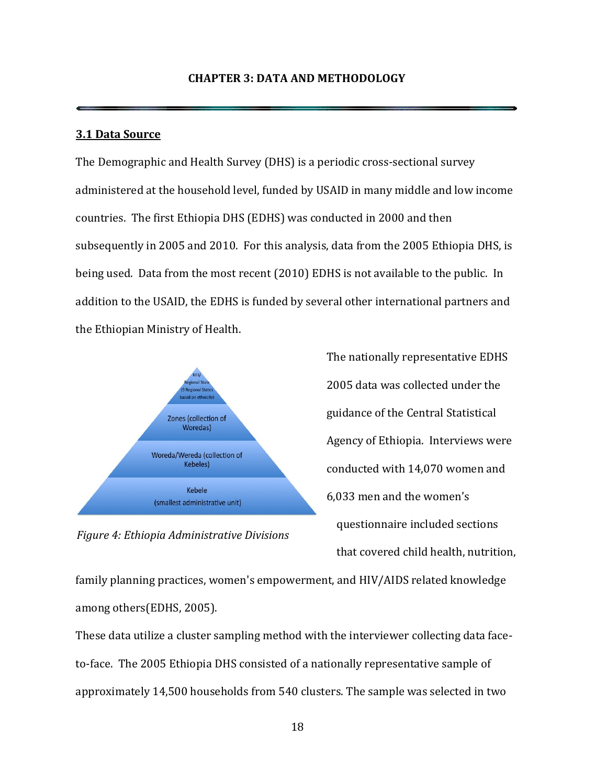### 3.1 Data Source

The Demographic and Health Survey (DHS) is a periodic cross-sectional survey administered at the household level, funded by USAID in many middle and low income countries. The first Ethiopia DHS (EDHS) was conducted in 2000 and then subsequently in 2005 and 2010. For this analysis, data from the 2005 Ethiopia DHS, is being used. Data from the most recent (2010) EDHS is not available to the public. In addition to the USAID, the EDHS is funded by several other international partners and the Ethiopian Ministry of Health.



Figure 4: Ethiopia Administrative Divisions

The nationally representative EDHS 2005 data was collected under the guidance of the Central Statistical Agency of Ethiopia. Interviews were conducted with 14,070 women and 6,033 men and the women's questionnaire included sections that covered child health, nutrition,

family planning practices, women's empowerment, and HIV/AIDS related knowledge among others(EDHS, 2005).

These data utilize a cluster sampling method with the interviewer collecting data faceto-face. The 2005 Ethiopia DHS consisted of a nationally representative sample of approximately 14,500 households from 540 clusters. The sample was selected in two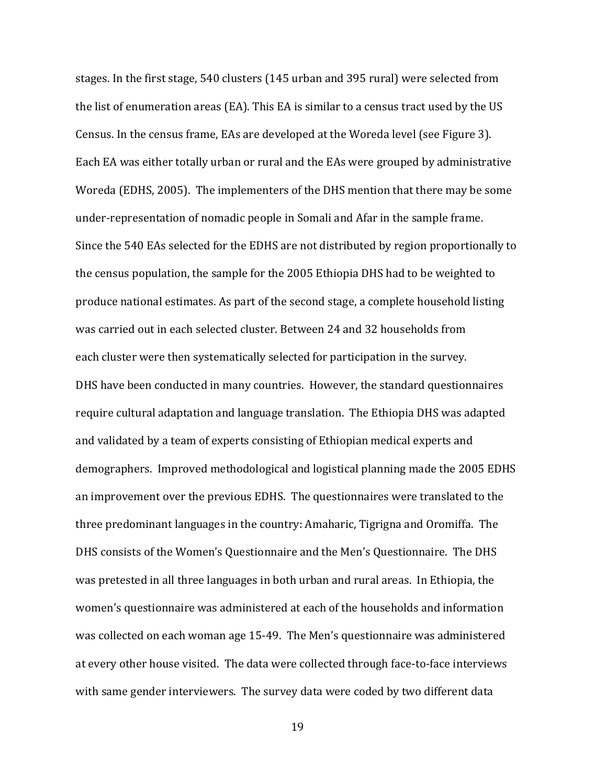stages. In the first stage, 540 clusters (145 urban and 395 rural) were selected from the list of enumeration areas (EA). This EA is similar to a census tract used by the US Census. In the census frame, EAs are developed at the Woreda level (see Figure 3). Each EA was either totally urban or rural and the EAs were grouped by administrative Woreda (EDHS, 2005). The implementers of the DHS mention that there may be some under-representation of nomadic people in Somali and Afar in the sample frame. Since the 540 EAs selected for the EDHS are not distributed by region proportionally to the census population, the sample for the 2005 Ethiopia DHS had to be weighted to produce national estimates. As part of the second stage, a complete household listing was carried out in each selected cluster. Between 24 and 32 households from each cluster were then systematically selected for participation in the survey. DHS have been conducted in many countries. However, the standard questionnaires require cultural adaptation and language translation. The Ethiopia DHS was adapted and validated by a team of experts consisting of Ethiopian medical experts and demographers. Improved methodological and logistical planning made the 2005 EDHS an improvement over the previous EDHS. The questionnaires were translated to the three predominant languages in the country: Amaharic, Tigrigna and Oromiffa. The DHS consists of the Women's Questionnaire and the Men's Questionnaire. The DHS was pretested in all three languages in both urban and rural areas. In Ethiopia, the women's questionnaire was administered at each of the households and information was collected on each woman age 15-49. The Men's questionnaire was administered at every other house visited. The data were collected through face-to-face interviews with same gender interviewers. The survey data were coded by two different data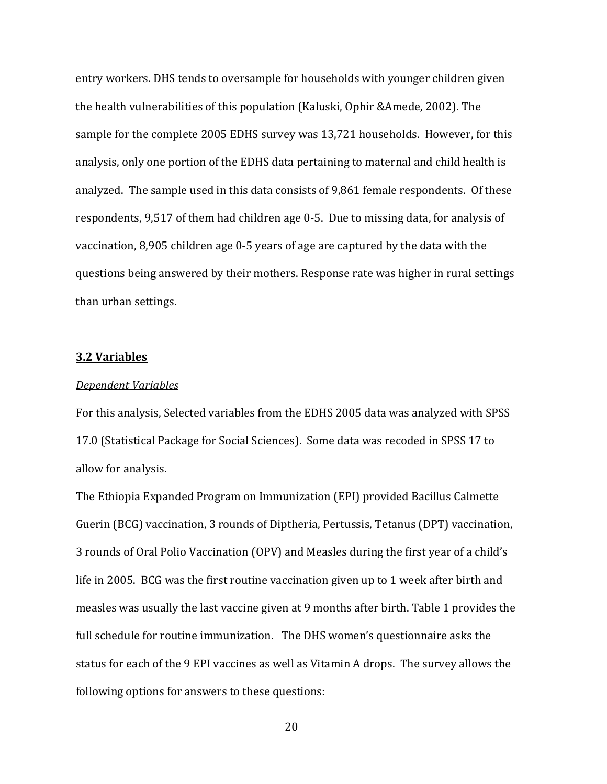entry workers. DHS tends to oversample for households with younger children given the health vulnerabilities of this population (Kaluski, Ophir &Amede, 2002). The sample for the complete 2005 EDHS survey was 13,721 households. However, for this analysis, only one portion of the EDHS data pertaining to maternal and child health is analyzed. The sample used in this data consists of 9,861 female respondents. Of these respondents, 9,517 of them had children age 0-5. Due to missing data, for analysis of vaccination, 8,905 children age 0-5 years of age are captured by the data with the questions being answered by their mothers. Response rate was higher in rural settings than urban settings.

#### 3.2 Variables

#### Dependent Variables

For this analysis, Selected variables from the EDHS 2005 data was analyzed with SPSS 17.0 (Statistical Package for Social Sciences). Some data was recoded in SPSS 17 to allow for analysis.

The Ethiopia Expanded Program on Immunization (EPI) provided Bacillus Calmette Guerin (BCG) vaccination, 3 rounds of Diptheria, Pertussis, Tetanus (DPT) vaccination, 3 rounds of Oral Polio Vaccination (OPV) and Measles during the first year of a child's life in 2005. BCG was the first routine vaccination given up to 1 week after birth and measles was usually the last vaccine given at 9 months after birth. Table 1 provides the full schedule for routine immunization. The DHS women's questionnaire asks the status for each of the 9 EPI vaccines as well as Vitamin A drops. The survey allows the following options for answers to these questions: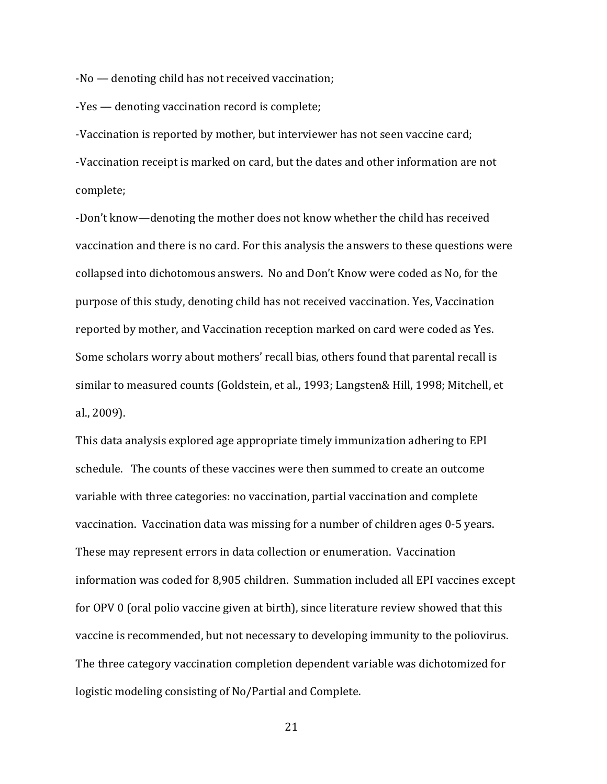-No — denoting child has not received vaccination;

-Yes — denoting vaccination record is complete;

-Vaccination is reported by mother, but interviewer has not seen vaccine card; -Vaccination receipt is marked on card, but the dates and other information are not complete;

-Don't know—denoting the mother does not know whether the child has received vaccination and there is no card. For this analysis the answers to these questions were collapsed into dichotomous answers. No and Don't Know were coded as No, for the purpose of this study, denoting child has not received vaccination. Yes, Vaccination reported by mother, and Vaccination reception marked on card were coded as Yes. Some scholars worry about mothers' recall bias, others found that parental recall is similar to measured counts (Goldstein, et al., 1993; Langsten& Hill, 1998; Mitchell, et al., 2009).

This data analysis explored age appropriate timely immunization adhering to EPI schedule. The counts of these vaccines were then summed to create an outcome variable with three categories: no vaccination, partial vaccination and complete vaccination. Vaccination data was missing for a number of children ages 0-5 years. These may represent errors in data collection or enumeration. Vaccination information was coded for 8,905 children. Summation included all EPI vaccines except for OPV 0 (oral polio vaccine given at birth), since literature review showed that this vaccine is recommended, but not necessary to developing immunity to the poliovirus. The three category vaccination completion dependent variable was dichotomized for logistic modeling consisting of No/Partial and Complete.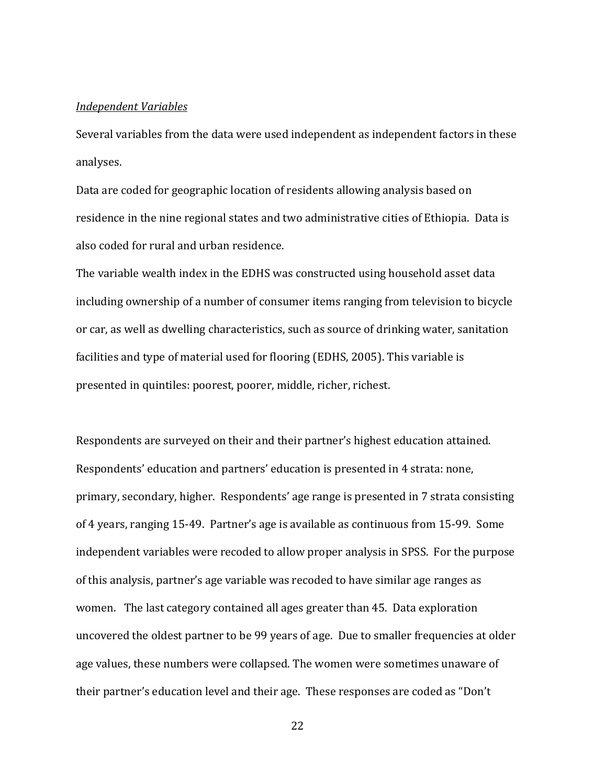#### Independent Variables

Several variables from the data were used independent as independent factors in these analyses.

Data are coded for geographic location of residents allowing analysis based on residence in the nine regional states and two administrative cities of Ethiopia. Data is also coded for rural and urban residence.

The variable wealth index in the EDHS was constructed using household asset data including ownership of a number of consumer items ranging from television to bicycle or car, as well as dwelling characteristics, such as source of drinking water, sanitation facilities and type of material used for flooring (EDHS, 2005). This variable is presented in quintiles: poorest, poorer, middle, richer, richest.

Respondents are surveyed on their and their partner's highest education attained. Respondents' education and partners' education is presented in 4 strata: none, primary, secondary, higher. Respondents' age range is presented in 7 strata consisting of 4 years, ranging 15-49. Partner's age is available as continuous from 15-99. Some independent variables were recoded to allow proper analysis in SPSS. For the purpose of this analysis, partner's age variable was recoded to have similar age ranges as women. The last category contained all ages greater than 45. Data exploration uncovered the oldest partner to be 99 years of age. Due to smaller frequencies at older age values, these numbers were collapsed. The women were sometimes unaware of their partner's education level and their age. These responses are coded as "Don't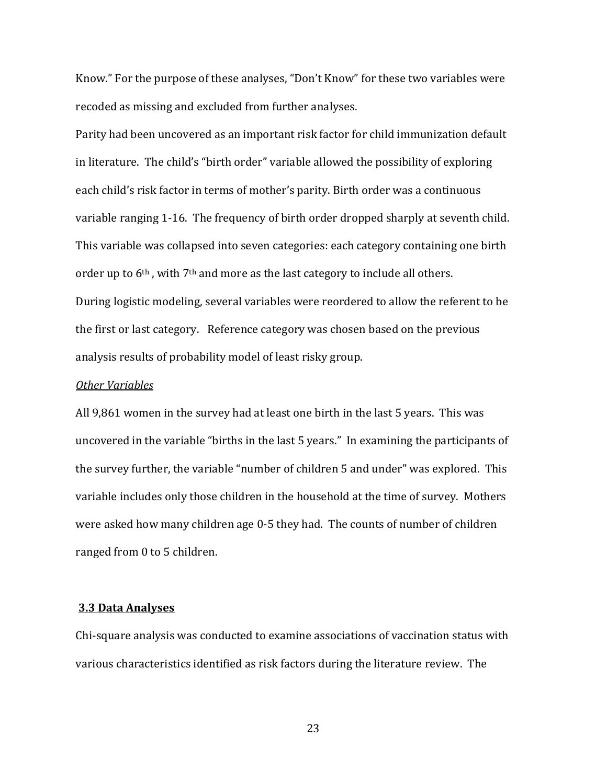Know." For the purpose of these analyses, "Don't Know" for these two variables were recoded as missing and excluded from further analyses.

Parity had been uncovered as an important risk factor for child immunization default in literature. The child's "birth order" variable allowed the possibility of exploring each child's risk factor in terms of mother's parity. Birth order was a continuous variable ranging 1-16. The frequency of birth order dropped sharply at seventh child. This variable was collapsed into seven categories: each category containing one birth order up to 6th , with 7th and more as the last category to include all others. During logistic modeling, several variables were reordered to allow the referent to be the first or last category. Reference category was chosen based on the previous analysis results of probability model of least risky group.

#### Other Variables

All 9,861 women in the survey had at least one birth in the last 5 years. This was uncovered in the variable "births in the last 5 years." In examining the participants of the survey further, the variable "number of children 5 and under" was explored. This variable includes only those children in the household at the time of survey. Mothers were asked how many children age 0-5 they had. The counts of number of children ranged from 0 to 5 children.

#### 3.3 Data Analyses

Chi-square analysis was conducted to examine associations of vaccination status with various characteristics identified as risk factors during the literature review. The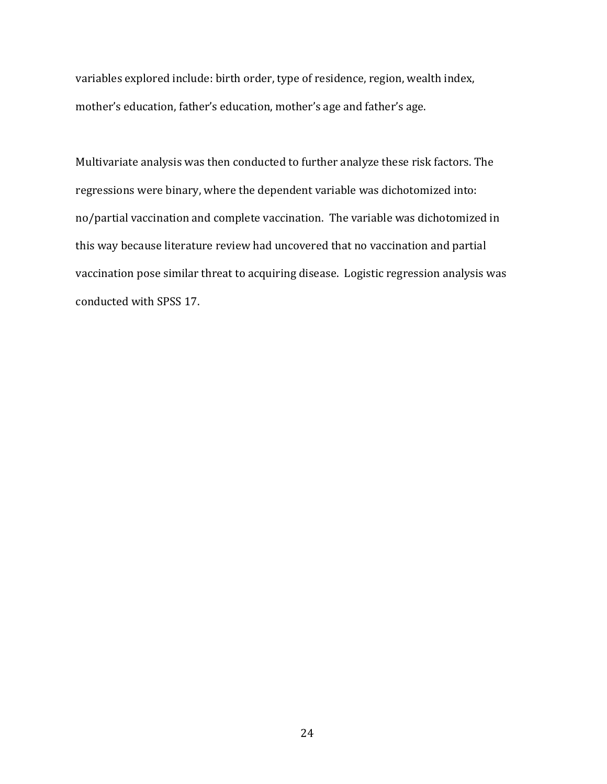variables explored include: birth order, type of residence, region, wealth index, mother's education, father's education, mother's age and father's age.

Multivariate analysis was then conducted to further analyze these risk factors. The regressions were binary, where the dependent variable was dichotomized into: no/partial vaccination and complete vaccination. The variable was dichotomized in this way because literature review had uncovered that no vaccination and partial vaccination pose similar threat to acquiring disease. Logistic regression analysis was conducted with SPSS 17.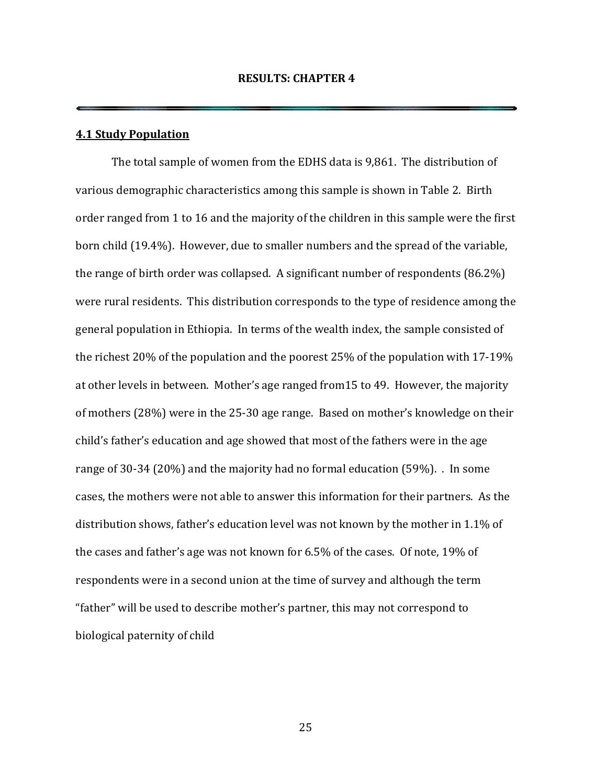#### 4.1 Study Population

The total sample of women from the EDHS data is 9,861. The distribution of various demographic characteristics among this sample is shown in Table 2. Birth order ranged from 1 to 16 and the majority of the children in this sample were the first born child (19.4%). However, due to smaller numbers and the spread of the variable, the range of birth order was collapsed. A significant number of respondents (86.2%) were rural residents. This distribution corresponds to the type of residence among the general population in Ethiopia. In terms of the wealth index, the sample consisted of the richest 20% of the population and the poorest 25% of the population with 17-19% at other levels in between. Mother's age ranged from15 to 49. However, the majority of mothers (28%) were in the 25-30 age range. Based on mother's knowledge on their child's father's education and age showed that most of the fathers were in the age range of 30-34 (20%) and the majority had no formal education (59%). . In some cases, the mothers were not able to answer this information for their partners. As the distribution shows, father's education level was not known by the mother in 1.1% of the cases and father's age was not known for 6.5% of the cases. Of note, 19% of respondents were in a second union at the time of survey and although the term "father" will be used to describe mother's partner, this may not correspond to biological paternity of child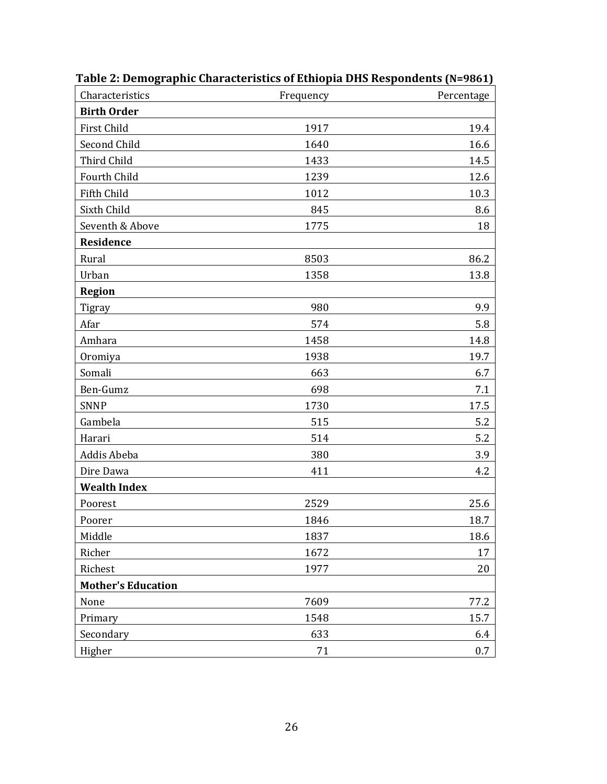| Characteristics           | Frequency | Percentage |
|---------------------------|-----------|------------|
| <b>Birth Order</b>        |           |            |
| First Child               | 1917      | 19.4       |
| Second Child              | 1640      | 16.6       |
| Third Child               | 1433      | 14.5       |
| Fourth Child              | 1239      | 12.6       |
| Fifth Child               | 1012      | 10.3       |
| Sixth Child               | 845       | 8.6        |
| Seventh & Above           | 1775      | 18         |
| Residence                 |           |            |
| Rural                     | 8503      | 86.2       |
| Urban                     | 1358      | 13.8       |
| <b>Region</b>             |           |            |
| <b>Tigray</b>             | 980       | 9.9        |
| Afar                      | 574       | 5.8        |
| Amhara                    | 1458      | 14.8       |
| Oromiya                   | 1938      | 19.7       |
| Somali                    | 663       | 6.7        |
| Ben-Gumz                  | 698       | 7.1        |
| <b>SNNP</b>               | 1730      | 17.5       |
| Gambela                   | 515       | 5.2        |
| Harari                    | 514       | 5.2        |
| Addis Abeba               | 380       | 3.9        |
| Dire Dawa                 | 411       | 4.2        |
| <b>Wealth Index</b>       |           |            |
| Poorest                   | 2529      | 25.6       |
| Poorer                    | 1846      | 18.7       |
| Middle                    | 1837      | 18.6       |
| Richer                    | 1672      | 17         |
| Richest                   | 1977      | 20         |
| <b>Mother's Education</b> |           |            |
| None                      | 7609      | 77.2       |
| Primary                   | 1548      | 15.7       |
| Secondary                 | 633       | 6.4        |
| Higher                    | 71        | 0.7        |

Table 2: Demographic Characteristics of Ethiopia DHS Respondents (N=9861)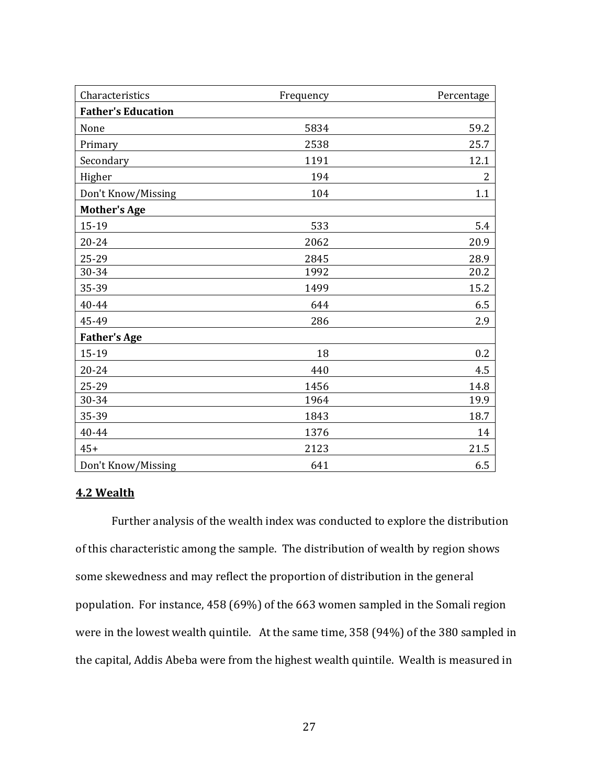| Characteristics           | Frequency | Percentage     |
|---------------------------|-----------|----------------|
| <b>Father's Education</b> |           |                |
| None                      | 5834      | 59.2           |
| Primary                   | 2538      | 25.7           |
| Secondary                 | 1191      | 12.1           |
| Higher                    | 194       | $\overline{2}$ |
| Don't Know/Missing        | 104       | 1.1            |
| <b>Mother's Age</b>       |           |                |
| 15-19                     | 533       | 5.4            |
| $20 - 24$                 | 2062      | 20.9           |
| 25-29                     | 2845      | 28.9           |
| 30-34                     | 1992      | 20.2           |
| 35-39                     | 1499      | 15.2           |
| 40-44                     | 644       | 6.5            |
| 45-49                     | 286       | 2.9            |
| <b>Father's Age</b>       |           |                |
| 15-19                     | 18        | 0.2            |
| 20-24                     | 440       | 4.5            |
| 25-29                     | 1456      | 14.8           |
| 30-34                     | 1964      | 19.9           |
| 35-39                     | 1843      | 18.7           |
| 40-44                     | 1376      | 14             |
| $45+$                     | 2123      | 21.5           |
| Don't Know/Missing        | 641       | 6.5            |

# 4.2 Wealth

Further analysis of the wealth index was conducted to explore the distribution of this characteristic among the sample. The distribution of wealth by region shows some skewedness and may reflect the proportion of distribution in the general population. For instance, 458 (69%) of the 663 women sampled in the Somali region were in the lowest wealth quintile. At the same time, 358 (94%) of the 380 sampled in the capital, Addis Abeba were from the highest wealth quintile. Wealth is measured in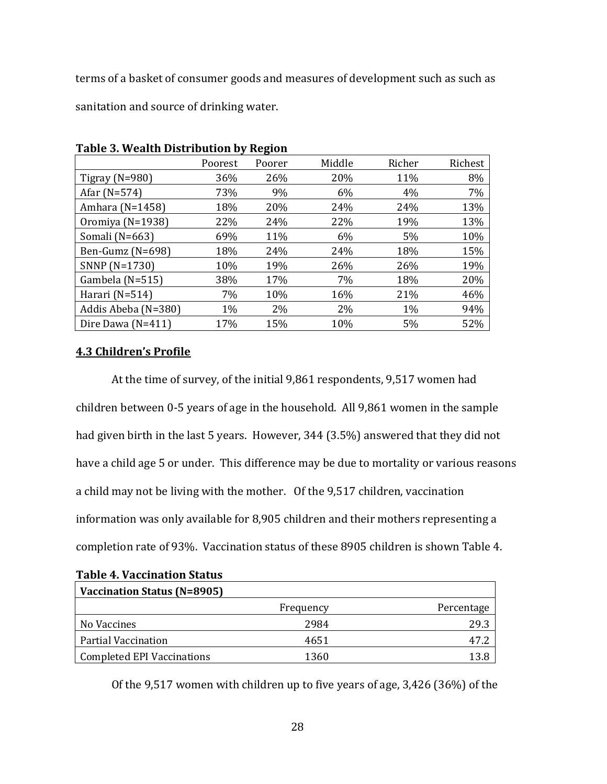terms of a basket of consumer goods and measures of development such as such as

sanitation and source of drinking water.

| rapic 9. Wealth Distribution by Region |         |        |        |        |         |  |
|----------------------------------------|---------|--------|--------|--------|---------|--|
|                                        | Poorest | Poorer | Middle | Richer | Richest |  |
| Tigray ( $N=980$ )                     | 36%     | 26%    | 20%    | 11%    | 8%      |  |
| Afar (N=574)                           | 73%     | 9%     | 6%     | 4%     | 7%      |  |
| Amhara (N=1458)                        | 18%     | 20%    | 24%    | 24%    | 13%     |  |
| Oromiya (N=1938)                       | 22%     | 24%    | 22%    | 19%    | 13%     |  |
| Somali (N=663)                         | 69%     | 11%    | 6%     | 5%     | 10%     |  |
| Ben-Gumz (N=698)                       | 18%     | 24%    | 24%    | 18%    | 15%     |  |
| SNNP (N=1730)                          | 10%     | 19%    | 26%    | 26%    | 19%     |  |
| Gambela (N=515)                        | 38%     | 17%    | 7%     | 18%    | 20%     |  |
| Harari (N=514)                         | 7%      | 10%    | 16%    | 21%    | 46%     |  |
| Addis Abeba (N=380)                    | 1%      | 2%     | 2%     | 1%     | 94%     |  |
| Dire Dawa (N=411)                      | 17%     | 15%    | 10%    | 5%     | 52%     |  |

Table 3. Wealth Distribution by Region

## 4.3 Children's Profile

At the time of survey, of the initial 9,861 respondents, 9,517 women had children between 0-5 years of age in the household. All 9,861 women in the sample had given birth in the last 5 years. However, 344 (3.5%) answered that they did not have a child age 5 or under. This difference may be due to mortality or various reasons a child may not be living with the mother. Of the 9,517 children, vaccination information was only available for 8,905 children and their mothers representing a completion rate of 93%. Vaccination status of these 8905 children is shown Table 4.

| Vaccination Status (N=8905)       |           |            |
|-----------------------------------|-----------|------------|
|                                   | Frequency | Percentage |
| No Vaccines                       | 2984      | 29.3       |
| Partial Vaccination               | 4651      |            |
| <b>Completed EPI Vaccinations</b> | 1360      |            |

Of the 9,517 women with children up to five years of age, 3,426 (36%) of the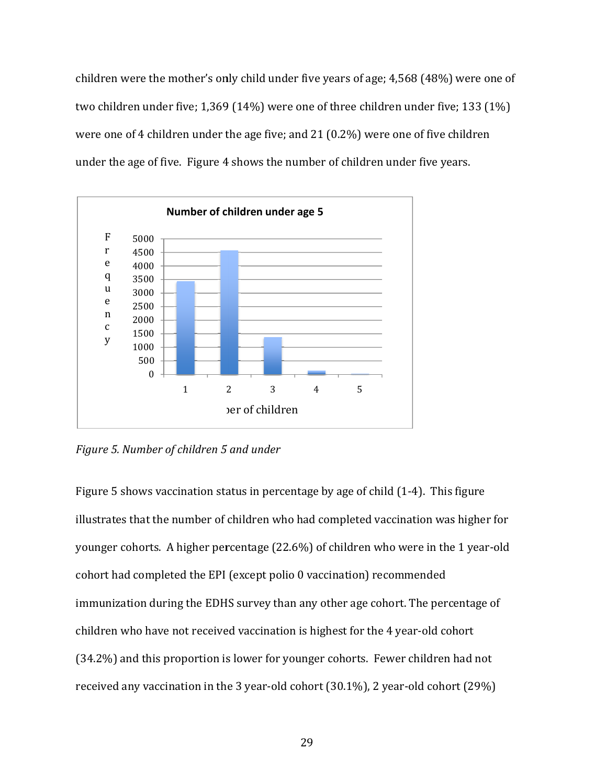children were the mother's only child under five years of age; 4,568 (48%) were one of two children under five; 1,369 369 (14%) were one of three children under five; 133 (1%) were one of 4 children under the age five; and 21 (0.2%) were one of five children were one of 4 children under the age five; and 21 (0.2%) were one of five child<br>under the age of five. Figure 4 shows the number of children under five years. 8 (48%) were one o $\,$ nder five; 133 (1%) $\,$ of five children $\,$ r five years. $\,$ 4). This figure $\,$ ine in the 1 year-old



Figure 5. Number of children 5 5 and under

Figure 5 shows vaccination status in percentage by age of child (1-4). This figure illustrates that the number of children who had completed vaccination was higher for younger cohorts. A higher percentage (22.6%) of children who were in the cohort had completed the EPI (except polio 0 vaccination) recommended immunization during the EDHS survey than any other age cohort. The percentage of children who have not received vaccination is highest for the 4 year-old cohort (34.2%) and this proportion is lower for younger cohorts. Fewer children had not children who have not received vaccination is highest for the 4 year-old cohort<br>(34.2%) and this proportion is lower for younger cohorts. Fewer children had not<br>received any vaccination in the 3 year-old cohort (30.1%), 2 the EPI (except polio 0 vaccination) recommended<br>he EDHS survey than any other age cohort. The percenta<br>received vaccination is highest for the 4 year-old cohort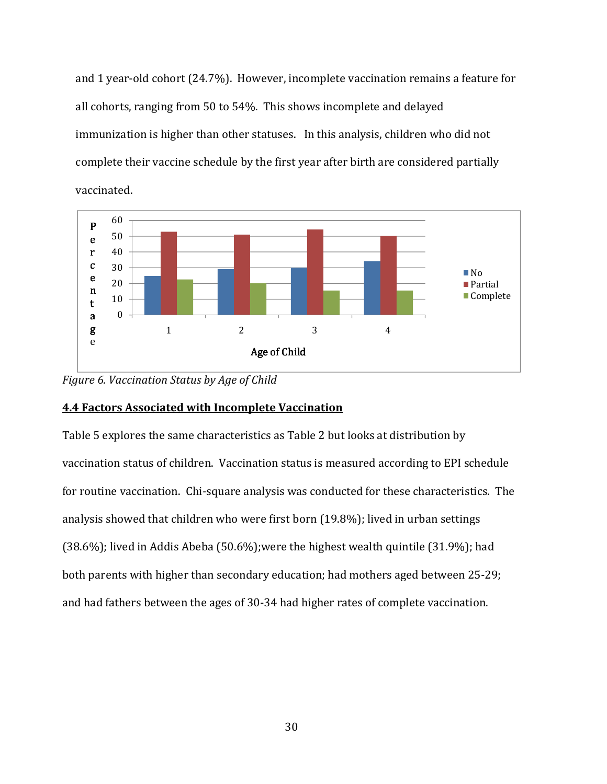and 1 year-old cohort (24.7%). However, incomplete vaccination remains a feature for all cohorts, ranging from 50 to 54%. This shows incomplete and delayed immunization is higher than other statuses. In this analysis, children who did not complete their vaccine schedule by the first year after birth are considered partially vaccinated.



Figure 6. Vaccination Status by Age of Child

# 4.4 Factors Associated with Incomplete Vaccination

Table 5 explores the same characteristics as Table 2 but looks at distribution by vaccination status of children. Vaccination status is measured according to EPI schedule for routine vaccination. Chi-square analysis was conducted for these characteristics. The analysis showed that children who were first born (19.8%); lived in urban settings (38.6%); lived in Addis Abeba (50.6%);were the highest wealth quintile (31.9%); had both parents with higher than secondary education; had mothers aged between 25-29; and had fathers between the ages of 30-34 had higher rates of complete vaccination.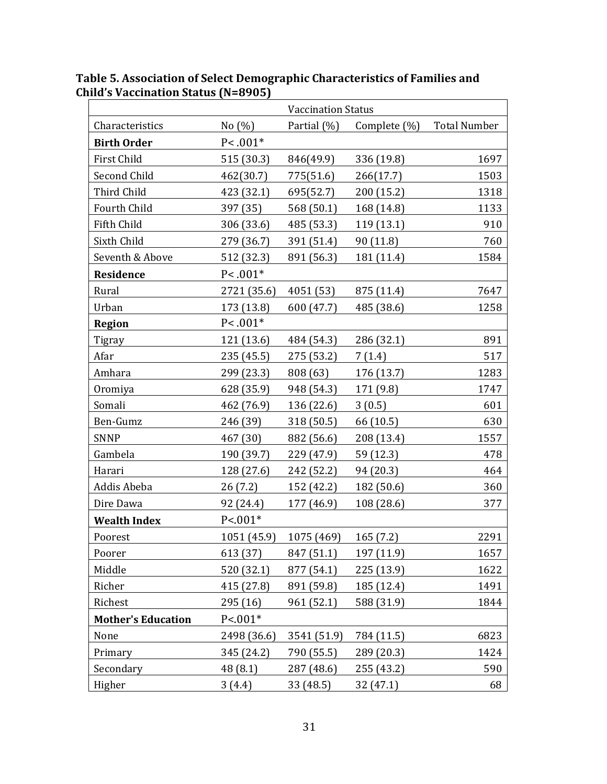|                           |             | <b>Vaccination Status</b> |              |                     |
|---------------------------|-------------|---------------------------|--------------|---------------------|
| Characteristics           | No $(\%)$   | Partial $(\%)$            | Complete (%) | <b>Total Number</b> |
| <b>Birth Order</b>        | $P < .001*$ |                           |              |                     |
| First Child               | 515 (30.3)  | 846(49.9)                 | 336 (19.8)   | 1697                |
| Second Child              | 462(30.7)   | 775(51.6)                 | 266(17.7)    | 1503                |
| Third Child               | 423 (32.1)  | 695(52.7)                 | 200 (15.2)   | 1318                |
| Fourth Child              | 397 (35)    | 568 (50.1)                | 168 (14.8)   | 1133                |
| Fifth Child               | 306 (33.6)  | 485 (53.3)                | 119 (13.1)   | 910                 |
| Sixth Child               | 279 (36.7)  | 391 (51.4)                | 90 (11.8)    | 760                 |
| Seventh & Above           | 512 (32.3)  | 891 (56.3)                | 181 (11.4)   | 1584                |
| Residence                 | $P<.001*$   |                           |              |                     |
| Rural                     | 2721 (35.6) | 4051 (53)                 | 875 (11.4)   | 7647                |
| Urban                     | 173 (13.8)  | 600 (47.7)                | 485 (38.6)   | 1258                |
| <b>Region</b>             | $P<.001*$   |                           |              |                     |
| Tigray                    | 121 (13.6)  | 484 (54.3)                | 286 (32.1)   | 891                 |
| Afar                      | 235 (45.5)  | 275 (53.2)                | 7(1.4)       | 517                 |
| Amhara                    | 299 (23.3)  | 808 (63)                  | 176 (13.7)   | 1283                |
| Oromiya                   | 628 (35.9)  | 948 (54.3)                | 171 (9.8)    | 1747                |
| Somali                    | 462 (76.9)  | 136 (22.6)                | 3(0.5)       | 601                 |
| Ben-Gumz                  | 246 (39)    | 318 (50.5)                | 66 (10.5)    | 630                 |
| <b>SNNP</b>               | 467 (30)    | 882 (56.6)                | 208 (13.4)   | 1557                |
| Gambela                   | 190 (39.7)  | 229 (47.9)                | 59 (12.3)    | 478                 |
| Harari                    | 128 (27.6)  | 242 (52.2)                | 94 (20.3)    | 464                 |
| Addis Abeba               | 26(7.2)     | 152 (42.2)                | 182 (50.6)   | 360                 |
| Dire Dawa                 | 92 (24.4)   | 177 (46.9)                | 108 (28.6)   | 377                 |
| <b>Wealth Index</b>       | $P < 001*$  |                           |              |                     |
| Poorest                   | 1051 (45.9) | 1075 (469)                | 165(7.2)     | 2291                |
| Poorer                    | 613 (37)    | 847 (51.1)                | 197 (11.9)   | 1657                |
| Middle                    | 520 (32.1)  | 877 (54.1)                | 225 (13.9)   | 1622                |
| Richer                    | 415 (27.8)  | 891 (59.8)                | 185 (12.4)   | 1491                |
| Richest                   | 295 (16)    | 961 (52.1)                | 588 (31.9)   | 1844                |
| <b>Mother's Education</b> | $P < 001*$  |                           |              |                     |
| None                      | 2498 (36.6) | 3541 (51.9)               | 784 (11.5)   | 6823                |
| Primary                   | 345 (24.2)  | 790 (55.5)                | 289 (20.3)   | 1424                |
| Secondary                 | 48 (8.1)    | 287 (48.6)                | 255 (43.2)   | 590                 |
| Higher                    | 3(4.4)      | 33 (48.5)                 | 32 (47.1)    | 68                  |

Table 5. Association of Select Demographic Characteristics of Families and Child's Vaccination Status (N=8905)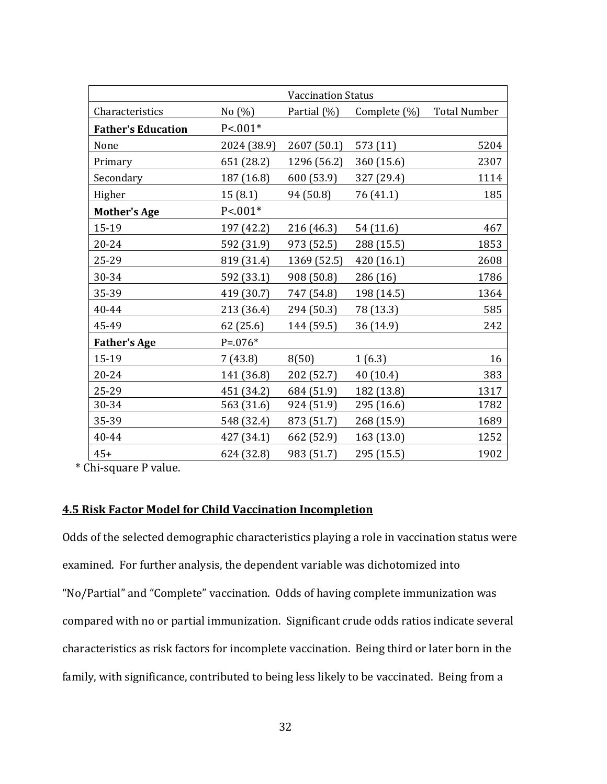|                           | <b>Vaccination Status</b> |             |                 |                     |
|---------------------------|---------------------------|-------------|-----------------|---------------------|
| Characteristics           | No $(\%)$                 | Partial (%) | Complete $(\%)$ | <b>Total Number</b> |
| <b>Father's Education</b> | $P < 001*$                |             |                 |                     |
| None                      | 2024 (38.9)               | 2607 (50.1) | 573(11)         | 5204                |
| Primary                   | 651 (28.2)                | 1296 (56.2) | 360 (15.6)      | 2307                |
| Secondary                 | 187 (16.8)                | 600 (53.9)  | 327 (29.4)      | 1114                |
| Higher                    | 15(8.1)                   | 94 (50.8)   | 76 (41.1)       | 185                 |
| <b>Mother's Age</b>       | $P < 001*$                |             |                 |                     |
| 15-19                     | 197 (42.2)                | 216 (46.3)  | 54 (11.6)       | 467                 |
| 20-24                     | 592 (31.9)                | 973 (52.5)  | 288 (15.5)      | 1853                |
| 25-29                     | 819 (31.4)                | 1369 (52.5) | 420 (16.1)      | 2608                |
| 30-34                     | 592 (33.1)                | 908 (50.8)  | 286 (16)        | 1786                |
| 35-39                     | 419 (30.7)                | 747 (54.8)  | 198 (14.5)      | 1364                |
| 40-44                     | 213 (36.4)                | 294 (50.3)  | 78 (13.3)       | 585                 |
| 45-49                     | 62(25.6)                  | 144 (59.5)  | 36 (14.9)       | 242                 |
| <b>Father's Age</b>       | $P = 0.076*$              |             |                 |                     |
| 15-19                     | 7(43.8)                   | 8(50)       | 1(6.3)          | 16                  |
| $20 - 24$                 | 141 (36.8)                | 202 (52.7)  | 40 (10.4)       | 383                 |
| 25-29                     | 451 (34.2)                | 684 (51.9)  | 182 (13.8)      | 1317                |
| 30-34                     | 563 (31.6)                | 924 (51.9)  | 295 (16.6)      | 1782                |
| 35-39                     | 548 (32.4)                | 873 (51.7)  | 268 (15.9)      | 1689                |
| 40-44                     | 427 (34.1)                | 662 (52.9)  | 163(13.0)       | 1252                |
| $45+$                     | 624 (32.8)                | 983 (51.7)  | 295 (15.5)      | 1902                |

\* Chi-square P value.

# 4.5 Risk Factor Model for Child Vaccination Incompletion

Odds of the selected demographic characteristics playing a role in vaccination status were examined. For further analysis, the dependent variable was dichotomized into "No/Partial" and "Complete" vaccination. Odds of having complete immunization was compared with no or partial immunization. Significant crude odds ratios indicate several characteristics as risk factors for incomplete vaccination. Being third or later born in the family, with significance, contributed to being less likely to be vaccinated. Being from a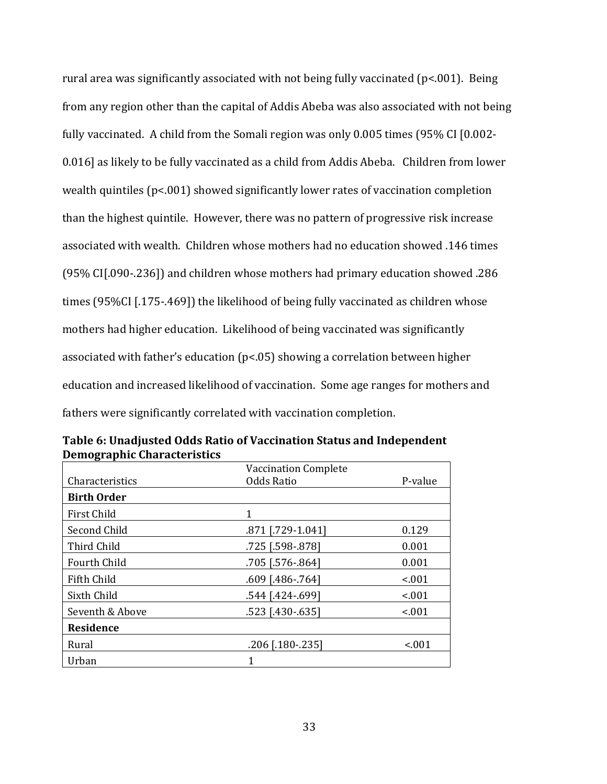rural area was significantly associated with not being fully vaccinated (p<.001). Being from any region other than the capital of Addis Abeba was also associated with not being fully vaccinated. A child from the Somali region was only 0.005 times (95% CI [0.002- 0.016] as likely to be fully vaccinated as a child from Addis Abeba. Children from lower wealth quintiles (p<.001) showed significantly lower rates of vaccination completion than the highest quintile. However, there was no pattern of progressive risk increase associated with wealth. Children whose mothers had no education showed .146 times (95% CI[.090-.236]) and children whose mothers had primary education showed .286 times (95%CI [.175-.469]) the likelihood of being fully vaccinated as children whose mothers had higher education. Likelihood of being vaccinated was significantly associated with father's education (p<.05) showing a correlation between higher education and increased likelihood of vaccination. Some age ranges for mothers and fathers were significantly correlated with vaccination completion.

|                    | <b>Vaccination Complete</b> |         |
|--------------------|-----------------------------|---------|
| Characteristics    | <b>Odds Ratio</b>           | P-value |
| <b>Birth Order</b> |                             |         |
| First Child        | 1                           |         |
| Second Child       | .871 [.729-1.041]           | 0.129   |
| Third Child        | .725 [.598-.878]            | 0.001   |
| Fourth Child       | .705 [.576-.864]            | 0.001   |
| Fifth Child        | $.609$ [.486-.764]          | < 0.01  |
| Sixth Child        | .544 [.424 -. 699]          | < 0.01  |
| Seventh & Above    | .523 [.430-.635]            | < .001  |
| Residence          |                             |         |
| Rural              | .206 [.180-.235]            | < .001  |
| Urban              | 1                           |         |

Table 6: Unadjusted Odds Ratio of Vaccination Status and Independent Demographic Characteristics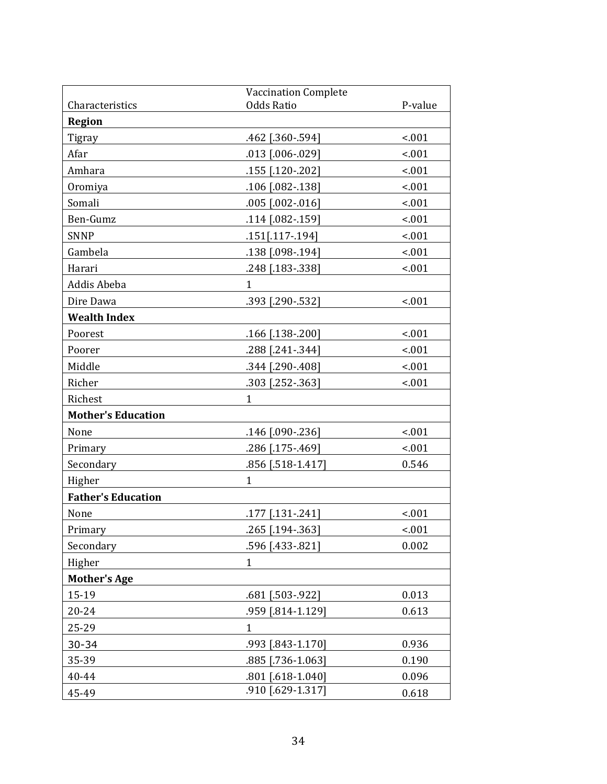|                           | <b>Vaccination Complete</b> |         |
|---------------------------|-----------------------------|---------|
| Characteristics           | <b>Odds Ratio</b>           | P-value |
| <b>Region</b>             |                             |         |
| Tigray                    | .462 [.360-.594]            | $-.001$ |
| Afar                      | .013 [.006-.029]            | < .001  |
| Amhara                    | .155 [.120-.202]            | < .001  |
| Oromiya                   | .106 [.082-.138]            | < .001  |
| Somali                    | $.005$ $[.002-.016]$        | < .001  |
| Ben-Gumz                  | .114 [.082-.159]            | < .001  |
| <b>SNNP</b>               | .151[.117-.194]             | < .001  |
| Gambela                   | .138 [.098-.194]            | < .001  |
| Harari                    | .248 [.183-.338]            | $-.001$ |
| Addis Abeba               | $\mathbf{1}$                |         |
| Dire Dawa                 | .393 [.290-.532]            | $-.001$ |
| <b>Wealth Index</b>       |                             |         |
| Poorest                   | .166 [.138-.200]            | < .001  |
| Poorer                    | .288 [.241-.344]            | < .001  |
| Middle                    | .344 [.290-.408]            | < .001  |
| Richer                    | .303 [.252-.363]            | < .001  |
| Richest                   | $\mathbf{1}$                |         |
| <b>Mother's Education</b> |                             |         |
| None                      | .146 [.090-.236]            | $-.001$ |
| Primary                   | .286 [.175-.469]            | < .001  |
| Secondary                 | .856 [.518-1.417]           | 0.546   |
| Higher                    | $\mathbf{1}$                |         |
| <b>Father's Education</b> |                             |         |
| None                      | .177 [.131 -. 241]          | < .001  |
| Primary                   | .265 [.194 - .363]          | < .001  |
| Secondary                 | .596 [.433-.821]            | 0.002   |
| Higher                    | $\mathbf{1}$                |         |
| <b>Mother's Age</b>       |                             |         |
| 15-19                     | .681 [.503-.922]            | 0.013   |
| 20-24                     | .959 [.814-1.129]           | 0.613   |
| 25-29                     | $\mathbf{1}$                |         |
| $30 - 34$                 | .993 [.843-1.170]           | 0.936   |
| 35-39                     | .885 [.736-1.063]           | 0.190   |
| 40-44                     | .801 [.618-1.040]           | 0.096   |
| 45-49                     | .910 [.629-1.317]           | 0.618   |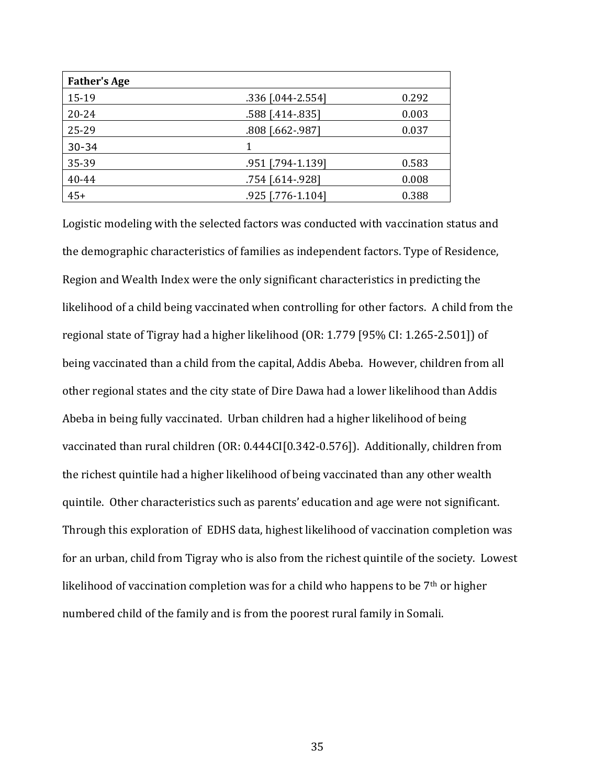| <b>Father's Age</b> |                   |       |
|---------------------|-------------------|-------|
| 15-19               | .336 [.044-2.554] | 0.292 |
| $20 - 24$           | .588 [.414-.835]  | 0.003 |
| 25-29               | .808 [.662-.987]  | 0.037 |
| $30 - 34$           |                   |       |
| 35-39               | .951 [.794-1.139] | 0.583 |
| 40-44               | .754 [.614-.928]  | 0.008 |
| $45+$               | .925 [.776-1.104] | 0.388 |

Logistic modeling with the selected factors was conducted with vaccination status and the demographic characteristics of families as independent factors. Type of Residence, Region and Wealth Index were the only significant characteristics in predicting the likelihood of a child being vaccinated when controlling for other factors. A child from the regional state of Tigray had a higher likelihood (OR: 1.779 [95% CI: 1.265-2.501]) of being vaccinated than a child from the capital, Addis Abeba. However, children from all other regional states and the city state of Dire Dawa had a lower likelihood than Addis Abeba in being fully vaccinated. Urban children had a higher likelihood of being vaccinated than rural children (OR: 0.444CI[0.342-0.576]). Additionally, children from the richest quintile had a higher likelihood of being vaccinated than any other wealth quintile. Other characteristics such as parents' education and age were not significant. Through this exploration of EDHS data, highest likelihood of vaccination completion was for an urban, child from Tigray who is also from the richest quintile of the society. Lowest likelihood of vaccination completion was for a child who happens to be  $7<sup>th</sup>$  or higher numbered child of the family and is from the poorest rural family in Somali.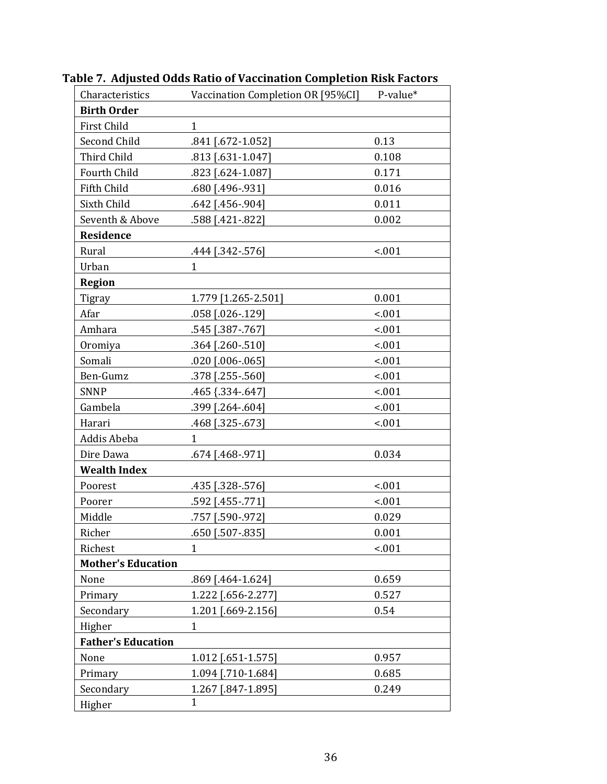| Characteristics           | Vaccination Completion OR [95%CI] | P-value* |
|---------------------------|-----------------------------------|----------|
| <b>Birth Order</b>        |                                   |          |
| First Child               | 1                                 |          |
| Second Child              | .841 [.672-1.052]                 | 0.13     |
| Third Child               | .813 [.631-1.047]                 | 0.108    |
| Fourth Child              | .823 [.624-1.087]                 | 0.171    |
| Fifth Child               | .680 [.496-.931]                  | 0.016    |
| Sixth Child               | .642 [.456-.904]                  | 0.011    |
| Seventh & Above           | .588 [.421 -.822]                 | 0.002    |
| <b>Residence</b>          |                                   |          |
| Rural                     | .444 [.342 - .576]                | < .001   |
| Urban                     | $\mathbf{1}$                      |          |
| <b>Region</b>             |                                   |          |
| Tigray                    | 1.779 [1.265-2.501]               | 0.001    |
| Afar                      | .058 [.026-.129]                  | < .001   |
| Amhara                    | .545 [.387 - .767]                | < .001   |
| Oromiya                   | .364 [.260-.510]                  | < .001   |
| Somali                    | $.020$ $[.006-.065]$              | < .001   |
| Ben-Gumz                  | .378 [.255 - .560]                | < .001   |
| <b>SNNP</b>               | .465 {.334 - .647]                | < .001   |
| Gambela                   | .399 [.264 -. 604]                | < .001   |
| Harari                    | .468 [.325 - .673]                | < .001   |
| Addis Abeba               | $\mathbf{1}$                      |          |
| Dire Dawa                 | .674 [.468-.971]                  | 0.034    |
| <b>Wealth Index</b>       |                                   |          |
| Poorest                   | .435 [.328-.576]                  | < .001   |
| Poorer                    | .592 [.455 - .771]                | < .001   |
| Middle                    | .757 [.590-.972]                  | 0.029    |
| Richer                    | .650 [.507-.835]                  | 0.001    |
| Richest                   | 1                                 | < .001   |
| <b>Mother's Education</b> |                                   |          |
| None                      | .869 [.464-1.624]                 | 0.659    |
| Primary                   | 1.222 [.656-2.277]                | 0.527    |
| Secondary                 | 1.201 [.669-2.156]                | 0.54     |
| Higher                    | $\mathbf{1}$                      |          |
| <b>Father's Education</b> |                                   |          |
| None                      | 1.012 [.651-1.575]                | 0.957    |
| Primary                   | 1.094 [.710-1.684]                | 0.685    |
| Secondary                 | 1.267 [.847-1.895]                | 0.249    |
| Higher                    | $\mathbf{1}$                      |          |

Table 7. Adjusted Odds Ratio of Vaccination Completion Risk Factors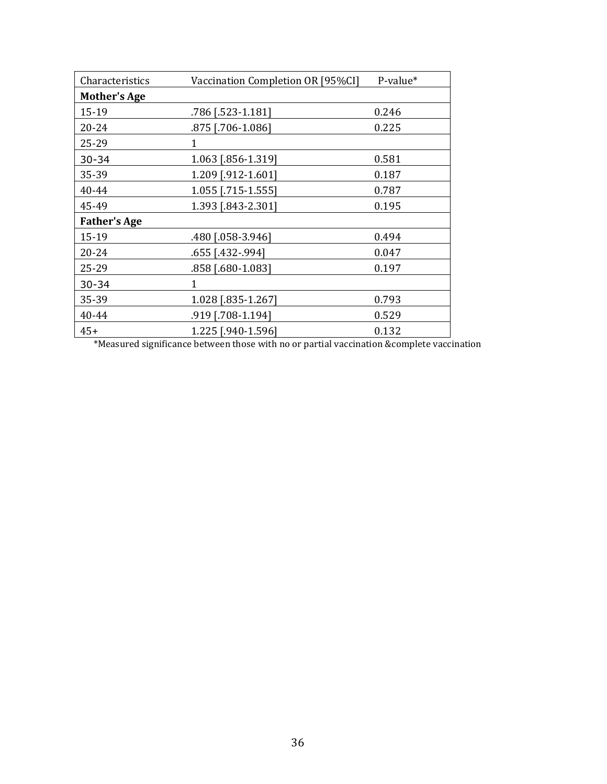| Characteristics     | Vaccination Completion OR [95%CI] | P-value* |
|---------------------|-----------------------------------|----------|
| <b>Mother's Age</b> |                                   |          |
| 15-19               | .786 [.523-1.181]                 | 0.246    |
| 20-24               | .875 [.706-1.086]                 | 0.225    |
| 25-29               | 1                                 |          |
| $30 - 34$           | 1.063 [.856-1.319]                | 0.581    |
| 35-39               | 1.209 [.912-1.601]                | 0.187    |
| 40-44               | 1.055 [.715-1.555]                | 0.787    |
| 45-49               | 1.393 [.843-2.301]                | 0.195    |
| <b>Father's Age</b> |                                   |          |
| 15-19               | .480 [.058-3.946]                 | 0.494    |
| 20-24               | .655 [.432-.994]                  | 0.047    |
| 25-29               | .858 [.680-1.083]                 | 0.197    |
| $30 - 34$           | 1                                 |          |
| 35-39               | 1.028 [.835-1.267]                | 0.793    |
| 40-44               | .919 [.708-1.194]                 | 0.529    |
| $45+$               | 1.225 [.940-1.596]                | 0.132    |

\*Measured significance between those with no or partial vaccination &complete vaccination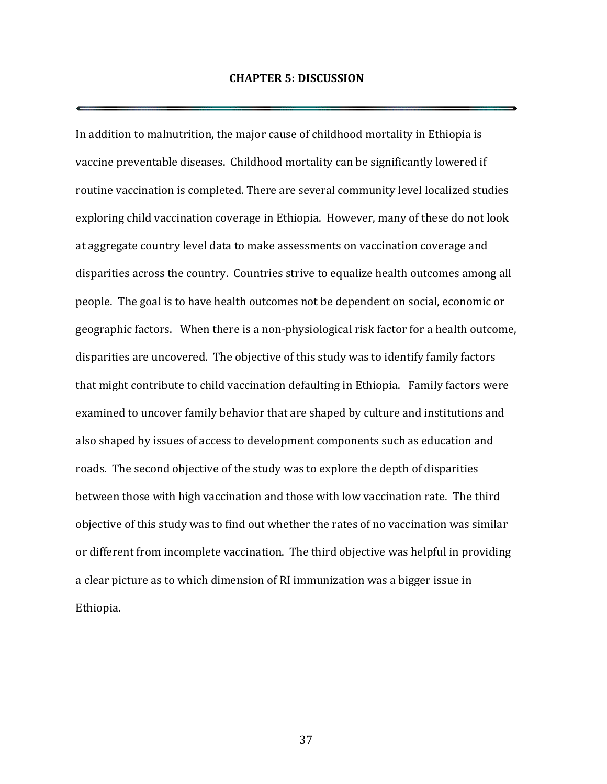### CHAPTER 5: DISCUSSION

In addition to malnutrition, the major cause of childhood mortality in Ethiopia is vaccine preventable diseases. Childhood mortality can be significantly lowered if routine vaccination is completed. There are several community level localized studies exploring child vaccination coverage in Ethiopia. However, many of these do not look at aggregate country level data to make assessments on vaccination coverage and disparities across the country. Countries strive to equalize health outcomes among all people. The goal is to have health outcomes not be dependent on social, economic or geographic factors. When there is a non-physiological risk factor for a health outcome, disparities are uncovered. The objective of this study was to identify family factors that might contribute to child vaccination defaulting in Ethiopia. Family factors were examined to uncover family behavior that are shaped by culture and institutions and also shaped by issues of access to development components such as education and roads. The second objective of the study was to explore the depth of disparities between those with high vaccination and those with low vaccination rate. The third objective of this study was to find out whether the rates of no vaccination was similar or different from incomplete vaccination. The third objective was helpful in providing a clear picture as to which dimension of RI immunization was a bigger issue in Ethiopia.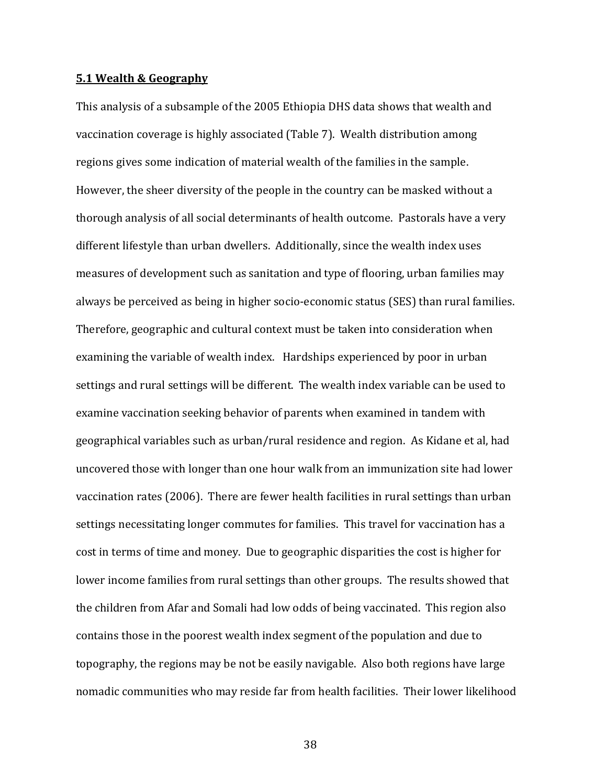#### 5.1 Wealth & Geography

This analysis of a subsample of the 2005 Ethiopia DHS data shows that wealth and vaccination coverage is highly associated (Table 7). Wealth distribution among regions gives some indication of material wealth of the families in the sample. However, the sheer diversity of the people in the country can be masked without a thorough analysis of all social determinants of health outcome. Pastorals have a very different lifestyle than urban dwellers. Additionally, since the wealth index uses measures of development such as sanitation and type of flooring, urban families may always be perceived as being in higher socio-economic status (SES) than rural families. Therefore, geographic and cultural context must be taken into consideration when examining the variable of wealth index. Hardships experienced by poor in urban settings and rural settings will be different. The wealth index variable can be used to examine vaccination seeking behavior of parents when examined in tandem with geographical variables such as urban/rural residence and region. As Kidane et al, had uncovered those with longer than one hour walk from an immunization site had lower vaccination rates (2006). There are fewer health facilities in rural settings than urban settings necessitating longer commutes for families. This travel for vaccination has a cost in terms of time and money. Due to geographic disparities the cost is higher for lower income families from rural settings than other groups. The results showed that the children from Afar and Somali had low odds of being vaccinated. This region also contains those in the poorest wealth index segment of the population and due to topography, the regions may be not be easily navigable. Also both regions have large nomadic communities who may reside far from health facilities. Their lower likelihood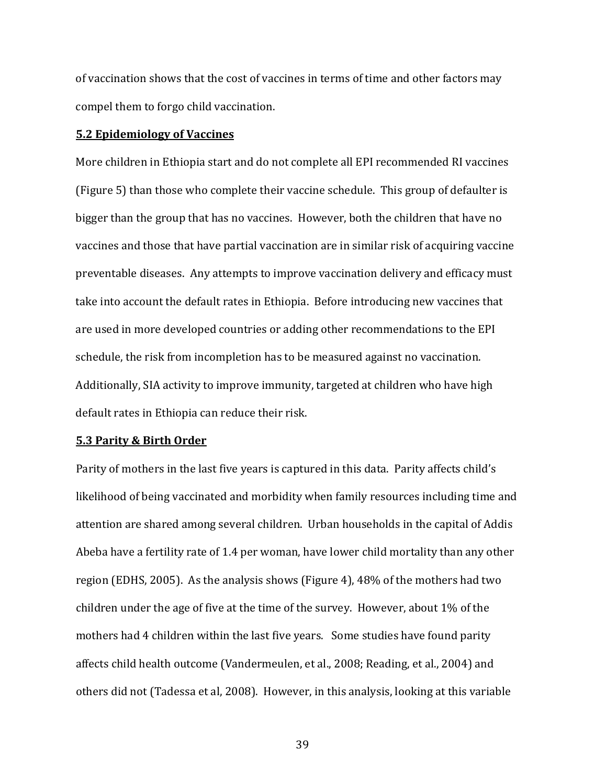of vaccination shows that the cost of vaccines in terms of time and other factors may compel them to forgo child vaccination.

#### 5.2 Epidemiology of Vaccines

More children in Ethiopia start and do not complete all EPI recommended RI vaccines (Figure 5) than those who complete their vaccine schedule. This group of defaulter is bigger than the group that has no vaccines. However, both the children that have no vaccines and those that have partial vaccination are in similar risk of acquiring vaccine preventable diseases. Any attempts to improve vaccination delivery and efficacy must take into account the default rates in Ethiopia. Before introducing new vaccines that are used in more developed countries or adding other recommendations to the EPI schedule, the risk from incompletion has to be measured against no vaccination. Additionally, SIA activity to improve immunity, targeted at children who have high default rates in Ethiopia can reduce their risk.

### 5.3 Parity & Birth Order

Parity of mothers in the last five years is captured in this data. Parity affects child's likelihood of being vaccinated and morbidity when family resources including time and attention are shared among several children. Urban households in the capital of Addis Abeba have a fertility rate of 1.4 per woman, have lower child mortality than any other region (EDHS, 2005). As the analysis shows (Figure 4), 48% of the mothers had two children under the age of five at the time of the survey. However, about 1% of the mothers had 4 children within the last five years. Some studies have found parity affects child health outcome (Vandermeulen, et al., 2008; Reading, et al., 2004) and others did not (Tadessa et al, 2008). However, in this analysis, looking at this variable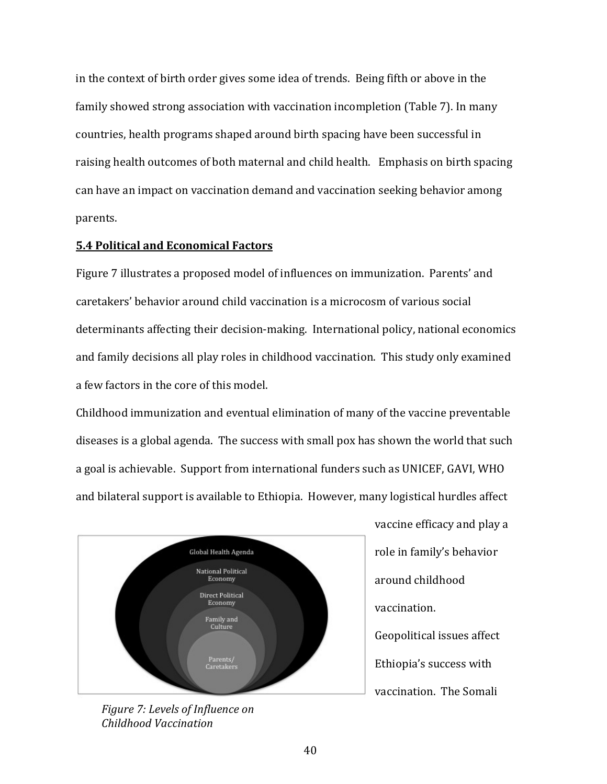in the context of birth order gives some idea of trends. Being fifth or above in the family showed strong association with vaccination incompletion (Table 7). In many countries, health programs shaped around birth spacing have been successful in raising health outcomes of both maternal and child health. Emphasis on birth spacing can have an impact on vaccination demand and vaccination seeking behavior among parents.

## 5.4 Political and Economical Factors

Figure 7 illustrates a proposed model of influences on immunization. Parents' and caretakers' behavior around child vaccination is a microcosm of various social determinants affecting their decision-making. International policy, national economics and family decisions all play roles in childhood vaccination. This study only examined a few factors in the core of this model.

Childhood immunization and eventual elimination of many of the vaccine preventable diseases is a global agenda. The success with small pox has shown the world that such a goal is achievable. Support from international funders such as UNICEF, GAVI, WHO and bilateral support is available to Ethiopia. However, many logistical hurdles affect



Figure 7: Levels of Influence on Childhood Vaccination

vaccine efficacy and play a role in family's behavior around childhood vaccination. Geopolitical issues affect Ethiopia's success with vaccination. The Somali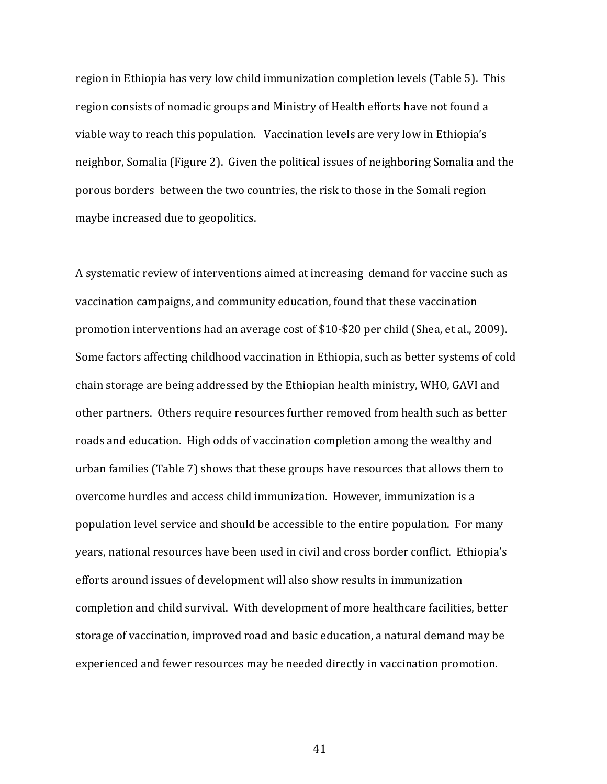region in Ethiopia has very low child immunization completion levels (Table 5). This region consists of nomadic groups and Ministry of Health efforts have not found a viable way to reach this population. Vaccination levels are very low in Ethiopia's neighbor, Somalia (Figure 2). Given the political issues of neighboring Somalia and the porous borders between the two countries, the risk to those in the Somali region maybe increased due to geopolitics.

A systematic review of interventions aimed at increasing demand for vaccine such as vaccination campaigns, and community education, found that these vaccination promotion interventions had an average cost of \$10-\$20 per child (Shea, et al., 2009). Some factors affecting childhood vaccination in Ethiopia, such as better systems of cold chain storage are being addressed by the Ethiopian health ministry, WHO, GAVI and other partners. Others require resources further removed from health such as better roads and education. High odds of vaccination completion among the wealthy and urban families (Table 7) shows that these groups have resources that allows them to overcome hurdles and access child immunization. However, immunization is a population level service and should be accessible to the entire population. For many years, national resources have been used in civil and cross border conflict. Ethiopia's efforts around issues of development will also show results in immunization completion and child survival. With development of more healthcare facilities, better storage of vaccination, improved road and basic education, a natural demand may be experienced and fewer resources may be needed directly in vaccination promotion.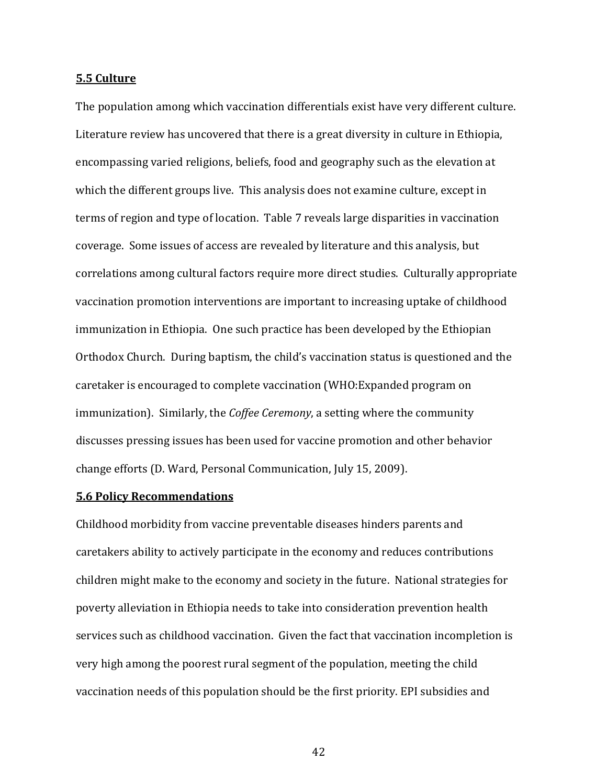#### 5.5 Culture

The population among which vaccination differentials exist have very different culture. Literature review has uncovered that there is a great diversity in culture in Ethiopia, encompassing varied religions, beliefs, food and geography such as the elevation at which the different groups live. This analysis does not examine culture, except in terms of region and type of location. Table 7 reveals large disparities in vaccination coverage. Some issues of access are revealed by literature and this analysis, but correlations among cultural factors require more direct studies. Culturally appropriate vaccination promotion interventions are important to increasing uptake of childhood immunization in Ethiopia. One such practice has been developed by the Ethiopian Orthodox Church. During baptism, the child's vaccination status is questioned and the caretaker is encouraged to complete vaccination (WHO:Expanded program on immunization). Similarly, the *Coffee Ceremony*, a setting where the community discusses pressing issues has been used for vaccine promotion and other behavior change efforts (D. Ward, Personal Communication, July 15, 2009).

#### 5.6 Policy Recommendations

Childhood morbidity from vaccine preventable diseases hinders parents and caretakers ability to actively participate in the economy and reduces contributions children might make to the economy and society in the future. National strategies for poverty alleviation in Ethiopia needs to take into consideration prevention health services such as childhood vaccination. Given the fact that vaccination incompletion is very high among the poorest rural segment of the population, meeting the child vaccination needs of this population should be the first priority. EPI subsidies and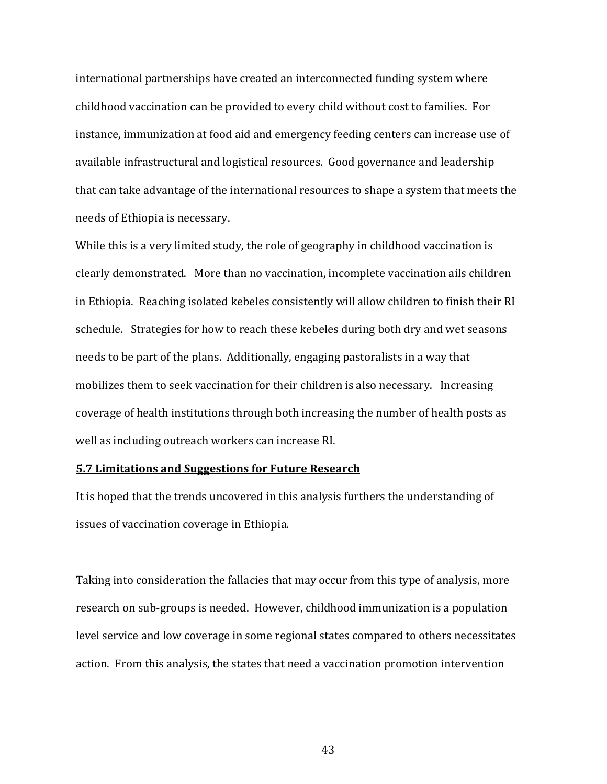international partnerships have created an interconnected funding system where childhood vaccination can be provided to every child without cost to families. For instance, immunization at food aid and emergency feeding centers can increase use of available infrastructural and logistical resources. Good governance and leadership that can take advantage of the international resources to shape a system that meets the needs of Ethiopia is necessary.

While this is a very limited study, the role of geography in childhood vaccination is clearly demonstrated. More than no vaccination, incomplete vaccination ails children in Ethiopia. Reaching isolated kebeles consistently will allow children to finish their RI schedule. Strategies for how to reach these kebeles during both dry and wet seasons needs to be part of the plans. Additionally, engaging pastoralists in a way that mobilizes them to seek vaccination for their children is also necessary. Increasing coverage of health institutions through both increasing the number of health posts as well as including outreach workers can increase RI.

#### 5.7 Limitations and Suggestions for Future Research

It is hoped that the trends uncovered in this analysis furthers the understanding of issues of vaccination coverage in Ethiopia.

Taking into consideration the fallacies that may occur from this type of analysis, more research on sub-groups is needed. However, childhood immunization is a population level service and low coverage in some regional states compared to others necessitates action. From this analysis, the states that need a vaccination promotion intervention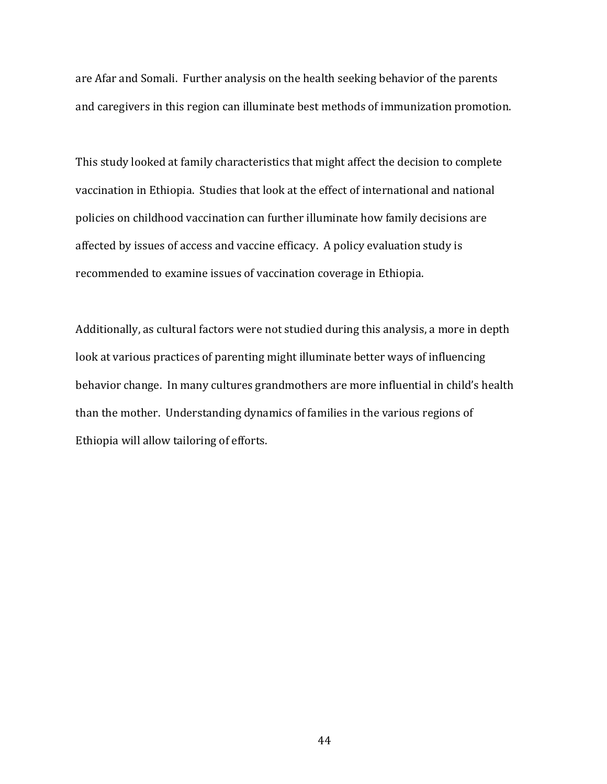are Afar and Somali. Further analysis on the health seeking behavior of the parents and caregivers in this region can illuminate best methods of immunization promotion.

This study looked at family characteristics that might affect the decision to complete vaccination in Ethiopia. Studies that look at the effect of international and national policies on childhood vaccination can further illuminate how family decisions are affected by issues of access and vaccine efficacy. A policy evaluation study is recommended to examine issues of vaccination coverage in Ethiopia.

Additionally, as cultural factors were not studied during this analysis, a more in depth look at various practices of parenting might illuminate better ways of influencing behavior change. In many cultures grandmothers are more influential in child's health than the mother. Understanding dynamics of families in the various regions of Ethiopia will allow tailoring of efforts.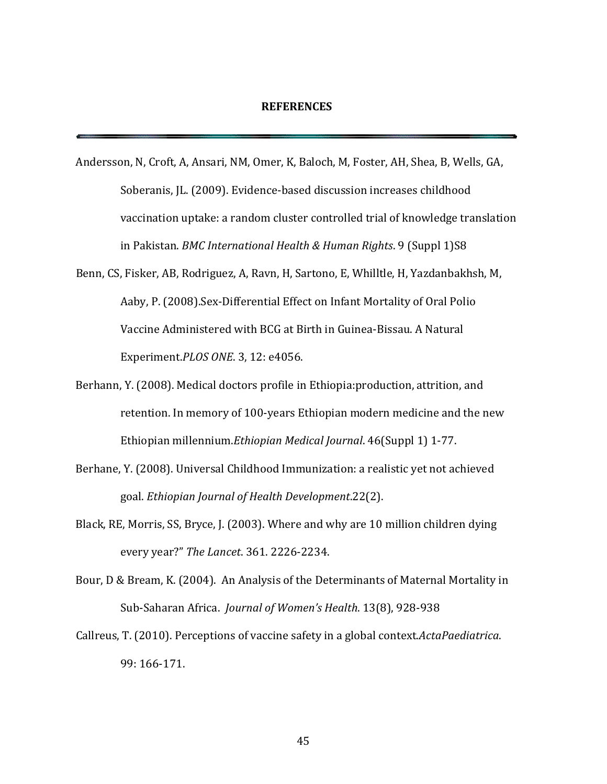Andersson, N, Croft, A, Ansari, NM, Omer, K, Baloch, M, Foster, AH, Shea, B, Wells, GA, Soberanis, JL. (2009). Evidence-based discussion increases childhood vaccination uptake: a random cluster controlled trial of knowledge translation in Pakistan. BMC International Health & Human Rights. 9 (Suppl 1)S8

- Benn, CS, Fisker, AB, Rodriguez, A, Ravn, H, Sartono, E, Whilltle, H, Yazdanbakhsh, M, Aaby, P. (2008).Sex-Differential Effect on Infant Mortality of Oral Polio Vaccine Administered with BCG at Birth in Guinea-Bissau. A Natural Experiment.PLOS ONE. 3, 12: e4056.
- Berhann, Y. (2008). Medical doctors profile in Ethiopia:production, attrition, and retention. In memory of 100-years Ethiopian modern medicine and the new Ethiopian millennium.Ethiopian Medical Journal. 46(Suppl 1) 1-77.
- Berhane, Y. (2008). Universal Childhood Immunization: a realistic yet not achieved goal. Ethiopian Journal of Health Development.22(2).
- Black, RE, Morris, SS, Bryce, J. (2003). Where and why are 10 million children dying every year?" The Lancet. 361. 2226-2234.
- Bour, D & Bream, K. (2004). An Analysis of the Determinants of Maternal Mortality in Sub-Saharan Africa. Journal of Women's Health. 13(8), 928-938
- Callreus, T. (2010). Perceptions of vaccine safety in a global context.ActaPaediatrica. 99: 166-171.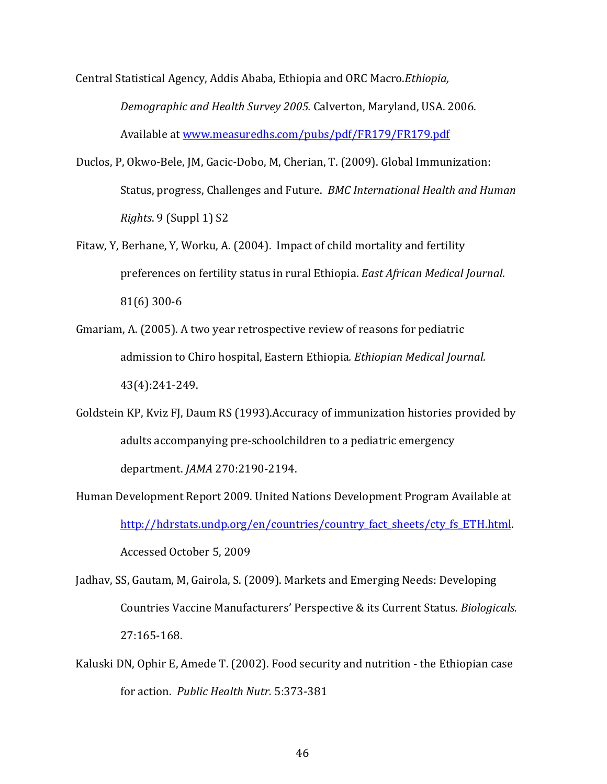Central Statistical Agency, Addis Ababa, Ethiopia and ORC Macro.Ethiopia, Demographic and Health Survey 2005. Calverton, Maryland, USA. 2006. Available at www.measuredhs.com/pubs/pdf/FR179/FR179.pdf

- Duclos, P, Okwo-Bele, JM, Gacic-Dobo, M, Cherian, T. (2009). Global Immunization: Status, progress, Challenges and Future. BMC International Health and Human Rights. 9 (Suppl 1) S2
- Fitaw, Y, Berhane, Y, Worku, A. (2004). Impact of child mortality and fertility preferences on fertility status in rural Ethiopia. East African Medical Journal. 81(6) 300-6
- Gmariam, A. (2005). A two year retrospective review of reasons for pediatric admission to Chiro hospital, Eastern Ethiopia. Ethiopian Medical Journal. 43(4):241-249.
- Goldstein KP, Kviz FJ, Daum RS (1993).Accuracy of immunization histories provided by adults accompanying pre-schoolchildren to a pediatric emergency department. JAMA 270:2190-2194.
- Human Development Report 2009. United Nations Development Program Available at http://hdrstats.undp.org/en/countries/country fact sheets/cty fs ETH.html. Accessed October 5, 2009
- Jadhav, SS, Gautam, M, Gairola, S. (2009). Markets and Emerging Needs: Developing Countries Vaccine Manufacturers' Perspective & its Current Status. Biologicals. 27:165-168.
- Kaluski DN, Ophir E, Amede T. (2002). Food security and nutrition the Ethiopian case for action. Public Health Nutr. 5:373-381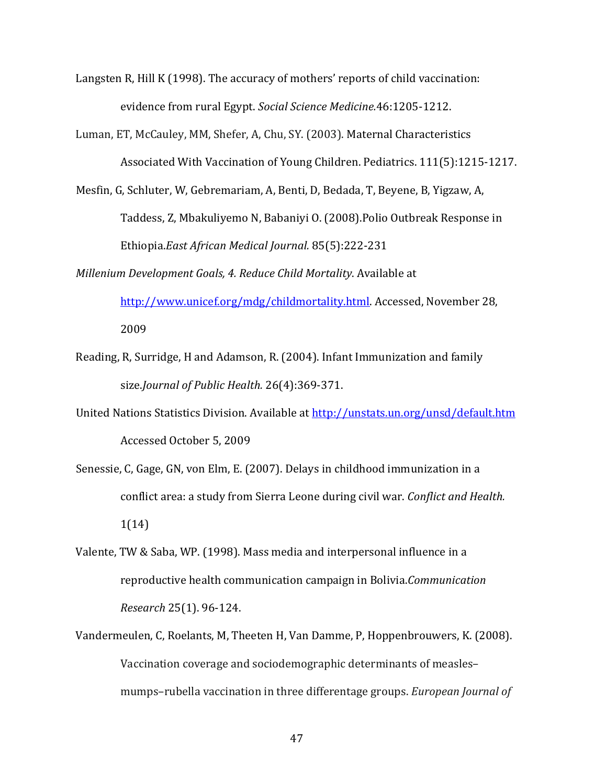- Langsten R, Hill K (1998). The accuracy of mothers' reports of child vaccination: evidence from rural Egypt. Social Science Medicine.46:1205-1212.
- Luman, ET, McCauley, MM, Shefer, A, Chu, SY. (2003). Maternal Characteristics Associated With Vaccination of Young Children. Pediatrics. 111(5):1215-1217.
- Mesfin, G, Schluter, W, Gebremariam, A, Benti, D, Bedada, T, Beyene, B, Yigzaw, A, Taddess, Z, Mbakuliyemo N, Babaniyi O. (2008).Polio Outbreak Response in Ethiopia.East African Medical Journal. 85(5):222-231
- Millenium Development Goals, 4. Reduce Child Mortality. Available at http://www.unicef.org/mdg/childmortality.html. Accessed, November 28, 2009
- Reading, R, Surridge, H and Adamson, R. (2004). Infant Immunization and family size.Journal of Public Health. 26(4):369-371.
- United Nations Statistics Division. Available at http://unstats.un.org/unsd/default.htm Accessed October 5, 2009
- Senessie, C, Gage, GN, von Elm, E. (2007). Delays in childhood immunization in a conflict area: a study from Sierra Leone during civil war. Conflict and Health. 1(14)
- Valente, TW & Saba, WP. (1998). Mass media and interpersonal influence in a reproductive health communication campaign in Bolivia.Communication Research 25(1). 96-124.
- Vandermeulen, C, Roelants, M, Theeten H, Van Damme, P, Hoppenbrouwers, K. (2008). Vaccination coverage and sociodemographic determinants of measles– mumps–rubella vaccination in three differentage groups. European Journal of